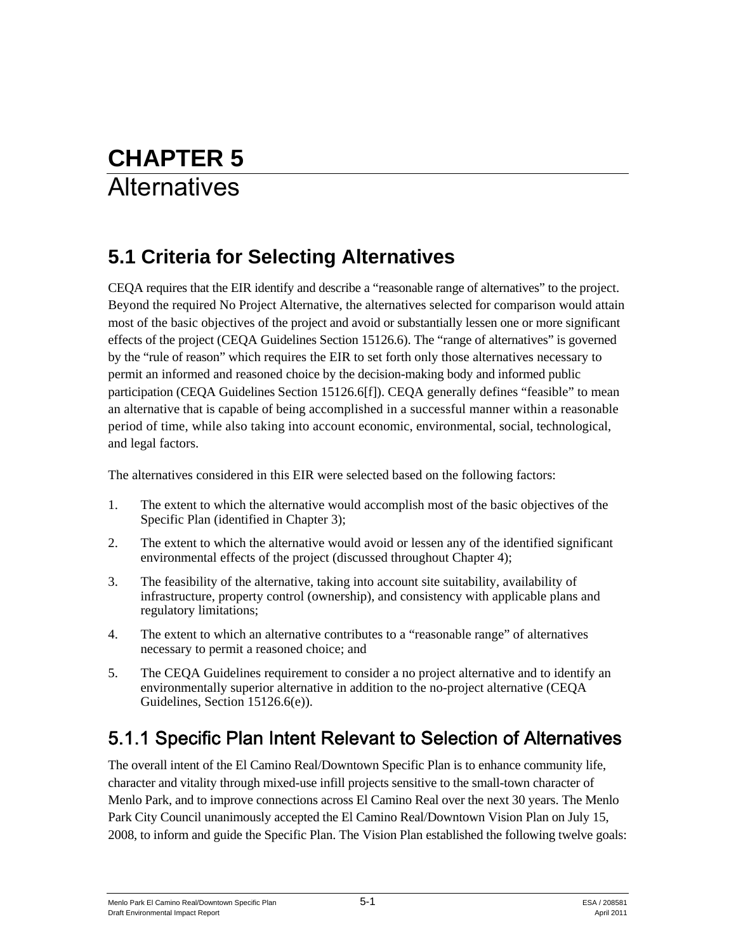# **CHAPTER 5 Alternatives**

# **5.1 Criteria for Selecting Alternatives**

CEQA requires that the EIR identify and describe a "reasonable range of alternatives" to the project. Beyond the required No Project Alternative, the alternatives selected for comparison would attain most of the basic objectives of the project and avoid or substantially lessen one or more significant effects of the project (CEQA Guidelines Section 15126.6). The "range of alternatives" is governed by the "rule of reason" which requires the EIR to set forth only those alternatives necessary to permit an informed and reasoned choice by the decision-making body and informed public participation (CEQA Guidelines Section 15126.6[f]). CEQA generally defines "feasible" to mean an alternative that is capable of being accomplished in a successful manner within a reasonable period of time, while also taking into account economic, environmental, social, technological, and legal factors.

The alternatives considered in this EIR were selected based on the following factors:

- 1. The extent to which the alternative would accomplish most of the basic objectives of the Specific Plan (identified in Chapter 3);
- 2. The extent to which the alternative would avoid or lessen any of the identified significant environmental effects of the project (discussed throughout Chapter 4);
- 3. The feasibility of the alternative, taking into account site suitability, availability of infrastructure, property control (ownership), and consistency with applicable plans and regulatory limitations;
- 4. The extent to which an alternative contributes to a "reasonable range" of alternatives necessary to permit a reasoned choice; and
- 5. The CEQA Guidelines requirement to consider a no project alternative and to identify an environmentally superior alternative in addition to the no-project alternative (CEQA Guidelines, Section 15126.6(e)).

# 5.1.1 Specific Plan Intent Relevant to Selection of Alternatives

The overall intent of the El Camino Real/Downtown Specific Plan is to enhance community life, character and vitality through mixed-use infill projects sensitive to the small-town character of Menlo Park, and to improve connections across El Camino Real over the next 30 years. The Menlo Park City Council unanimously accepted the El Camino Real/Downtown Vision Plan on July 15, 2008, to inform and guide the Specific Plan. The Vision Plan established the following twelve goals: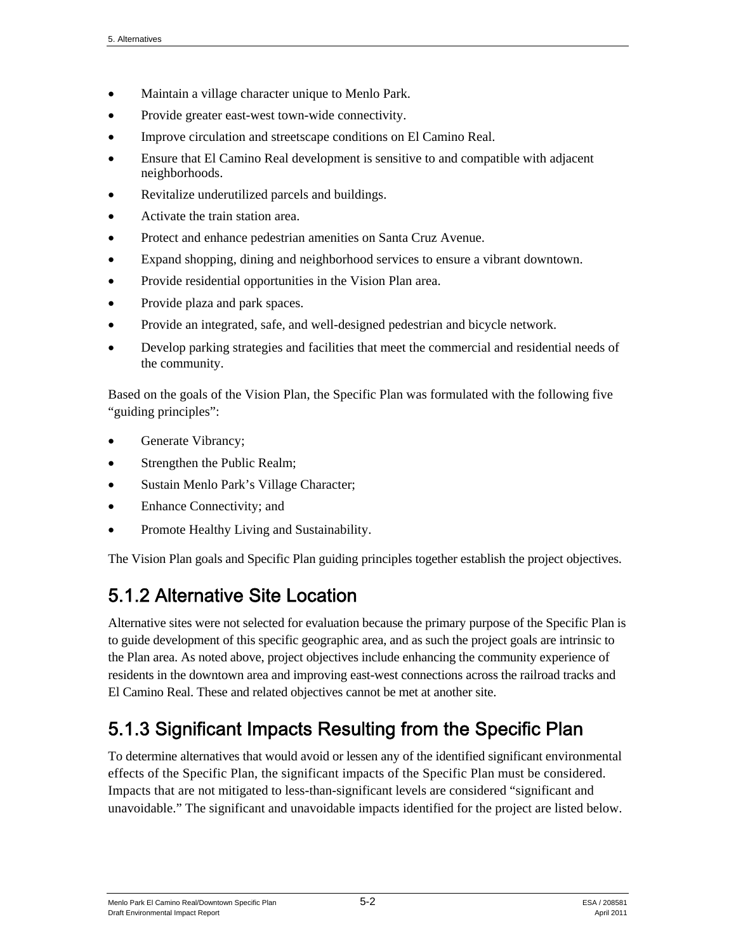- Maintain a village character unique to Menlo Park.
- Provide greater east-west town-wide connectivity.
- Improve circulation and streetscape conditions on El Camino Real.
- Ensure that El Camino Real development is sensitive to and compatible with adjacent neighborhoods.
- Revitalize underutilized parcels and buildings.
- Activate the train station area.
- Protect and enhance pedestrian amenities on Santa Cruz Avenue.
- Expand shopping, dining and neighborhood services to ensure a vibrant downtown.
- Provide residential opportunities in the Vision Plan area.
- Provide plaza and park spaces.
- Provide an integrated, safe, and well-designed pedestrian and bicycle network.
- Develop parking strategies and facilities that meet the commercial and residential needs of the community.

Based on the goals of the Vision Plan, the Specific Plan was formulated with the following five "guiding principles":

- Generate Vibrancy;
- Strengthen the Public Realm;
- Sustain Menlo Park's Village Character;
- Enhance Connectivity; and
- Promote Healthy Living and Sustainability.

The Vision Plan goals and Specific Plan guiding principles together establish the project objectives.

# 5.1.2 Alternative Site Location

Alternative sites were not selected for evaluation because the primary purpose of the Specific Plan is to guide development of this specific geographic area, and as such the project goals are intrinsic to the Plan area. As noted above, project objectives include enhancing the community experience of residents in the downtown area and improving east-west connections across the railroad tracks and El Camino Real. These and related objectives cannot be met at another site.

# 5.1.3 Significant Impacts Resulting from the Specific Plan

To determine alternatives that would avoid or lessen any of the identified significant environmental effects of the Specific Plan, the significant impacts of the Specific Plan must be considered. Impacts that are not mitigated to less-than-significant levels are considered "significant and unavoidable." The significant and unavoidable impacts identified for the project are listed below.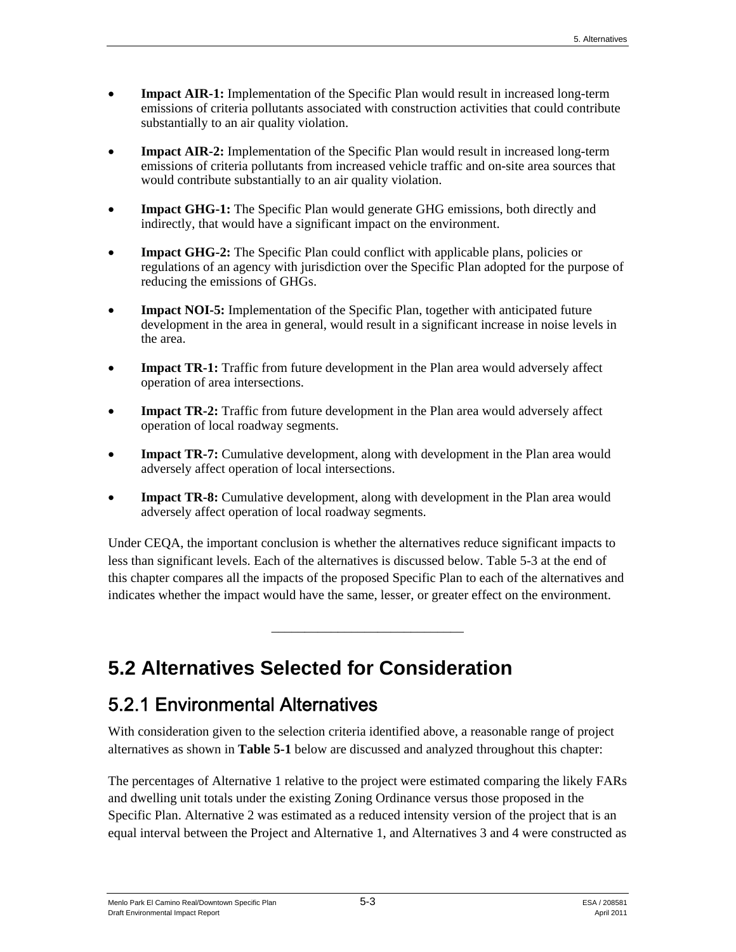- **Impact AIR-1:** Implementation of the Specific Plan would result in increased long-term emissions of criteria pollutants associated with construction activities that could contribute substantially to an air quality violation.
- **Impact AIR-2:** Implementation of the Specific Plan would result in increased long-term emissions of criteria pollutants from increased vehicle traffic and on-site area sources that would contribute substantially to an air quality violation.
- **Impact GHG-1:** The Specific Plan would generate GHG emissions, both directly and indirectly, that would have a significant impact on the environment.
- **Impact GHG-2:** The Specific Plan could conflict with applicable plans, policies or regulations of an agency with jurisdiction over the Specific Plan adopted for the purpose of reducing the emissions of GHGs.
- **Impact NOI-5:** Implementation of the Specific Plan, together with anticipated future development in the area in general, would result in a significant increase in noise levels in the area.
- **Impact TR-1:** Traffic from future development in the Plan area would adversely affect operation of area intersections.
- **Impact TR-2:** Traffic from future development in the Plan area would adversely affect operation of local roadway segments.
- **Impact TR-7:** Cumulative development, along with development in the Plan area would adversely affect operation of local intersections.
- **Impact TR-8:** Cumulative development, along with development in the Plan area would adversely affect operation of local roadway segments.

Under CEQA, the important conclusion is whether the alternatives reduce significant impacts to less than significant levels. Each of the alternatives is discussed below. Table 5-3 at the end of this chapter compares all the impacts of the proposed Specific Plan to each of the alternatives and indicates whether the impact would have the same, lesser, or greater effect on the environment.

\_\_\_\_\_\_\_\_\_\_\_\_\_\_\_\_\_\_\_\_\_\_\_\_\_\_\_\_\_

# **5.2 Alternatives Selected for Consideration**

# 5.2.1 Environmental Alternatives

With consideration given to the selection criteria identified above, a reasonable range of project alternatives as shown in **Table 5-1** below are discussed and analyzed throughout this chapter:

The percentages of Alternative 1 relative to the project were estimated comparing the likely FARs and dwelling unit totals under the existing Zoning Ordinance versus those proposed in the Specific Plan. Alternative 2 was estimated as a reduced intensity version of the project that is an equal interval between the Project and Alternative 1, and Alternatives 3 and 4 were constructed as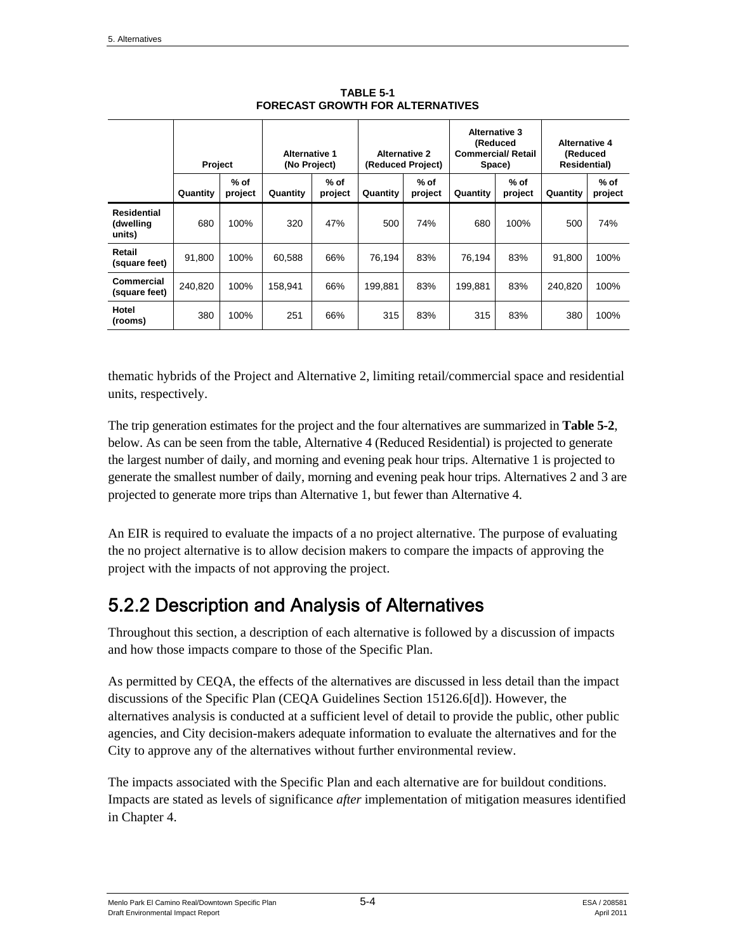|                                           | <b>Project</b> |                 | <b>Alternative 1</b><br>(No Project) |                   | <b>Alternative 2</b><br>(Reduced Project) |                   | <b>Alternative 3</b><br>(Reduced<br><b>Commercial/ Retail</b><br>Space) |                   | <b>Alternative 4</b><br>(Reduced<br><b>Residential</b> ) |                   |
|-------------------------------------------|----------------|-----------------|--------------------------------------|-------------------|-------------------------------------------|-------------------|-------------------------------------------------------------------------|-------------------|----------------------------------------------------------|-------------------|
|                                           | Quantity       | % of<br>project | Quantity                             | $%$ of<br>project | Quantity                                  | $%$ of<br>project | Quantity                                                                | $%$ of<br>project | Quantity                                                 | $%$ of<br>project |
| <b>Residential</b><br>(dwelling<br>units) | 680            | 100%            | 320                                  | 47%               | 500                                       | 74%               | 680                                                                     | 100%              | 500                                                      | 74%               |
| Retail<br>(square feet)                   | 91.800         | 100%            | 60,588                               | 66%               | 76.194                                    | 83%               | 76.194                                                                  | 83%               | 91.800                                                   | 100%              |
| <b>Commercial</b><br>(square feet)        | 240.820        | 100%            | 158.941                              | 66%               | 199.881                                   | 83%               | 199.881                                                                 | 83%               | 240,820                                                  | 100%              |
| Hotel<br>(rooms)                          | 380            | 100%            | 251                                  | 66%               | 315                                       | 83%               | 315                                                                     | 83%               | 380                                                      | 100%              |

**TABLE 5-1 FORECAST GROWTH FOR ALTERNATIVES** 

thematic hybrids of the Project and Alternative 2, limiting retail/commercial space and residential units, respectively.

The trip generation estimates for the project and the four alternatives are summarized in **Table 5-2**, below. As can be seen from the table, Alternative 4 (Reduced Residential) is projected to generate the largest number of daily, and morning and evening peak hour trips. Alternative 1 is projected to generate the smallest number of daily, morning and evening peak hour trips. Alternatives 2 and 3 are projected to generate more trips than Alternative 1, but fewer than Alternative 4.

An EIR is required to evaluate the impacts of a no project alternative. The purpose of evaluating the no project alternative is to allow decision makers to compare the impacts of approving the project with the impacts of not approving the project.

# 5.2.2 Description and Analysis of Alternatives

Throughout this section, a description of each alternative is followed by a discussion of impacts and how those impacts compare to those of the Specific Plan.

As permitted by CEQA, the effects of the alternatives are discussed in less detail than the impact discussions of the Specific Plan (CEQA Guidelines Section 15126.6[d]). However, the alternatives analysis is conducted at a sufficient level of detail to provide the public, other public agencies, and City decision-makers adequate information to evaluate the alternatives and for the City to approve any of the alternatives without further environmental review.

The impacts associated with the Specific Plan and each alternative are for buildout conditions. Impacts are stated as levels of significance *after* implementation of mitigation measures identified in Chapter 4.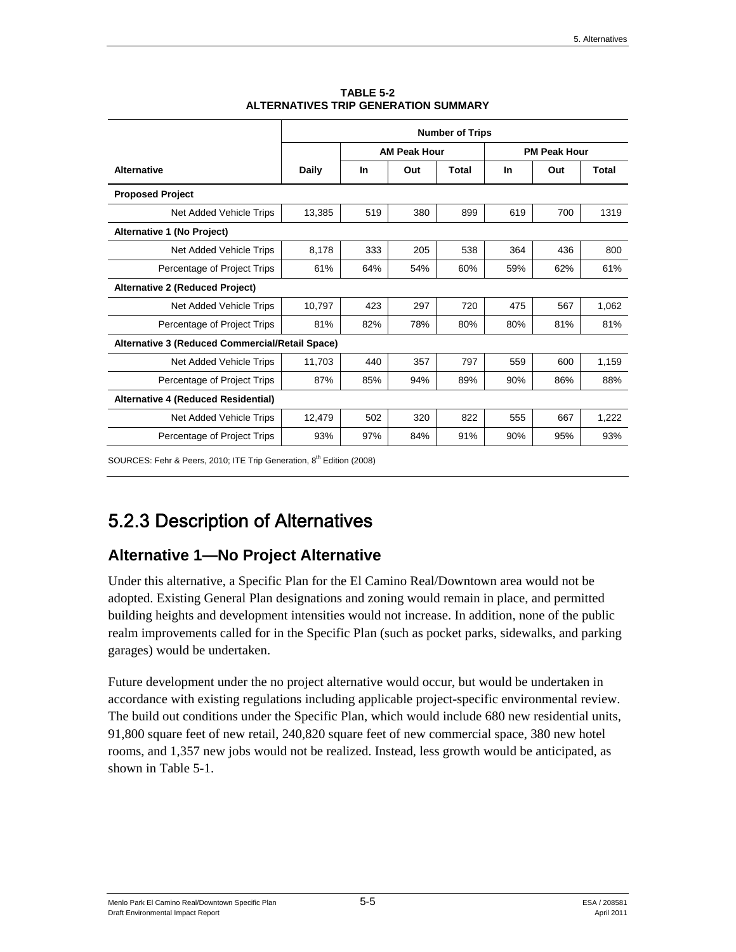|                                                 | <b>Number of Trips</b> |           |                     |              |     |                     |       |  |
|-------------------------------------------------|------------------------|-----------|---------------------|--------------|-----|---------------------|-------|--|
|                                                 |                        |           | <b>AM Peak Hour</b> |              |     | <b>PM Peak Hour</b> |       |  |
| <b>Alternative</b>                              | Daily                  | <b>In</b> | Out                 | <b>Total</b> | In  | Out                 | Total |  |
| <b>Proposed Project</b>                         |                        |           |                     |              |     |                     |       |  |
| Net Added Vehicle Trips                         | 13,385                 | 519       | 380                 | 899          | 619 | 700                 | 1319  |  |
| Alternative 1 (No Project)                      |                        |           |                     |              |     |                     |       |  |
| Net Added Vehicle Trips                         | 8,178                  | 333       | 205                 | 538          | 364 | 436                 | 800   |  |
| Percentage of Project Trips                     | 61%                    | 64%       | 54%                 | 60%          | 59% | 62%                 | 61%   |  |
| <b>Alternative 2 (Reduced Project)</b>          |                        |           |                     |              |     |                     |       |  |
| Net Added Vehicle Trips                         | 10,797                 | 423       | 297                 | 720          | 475 | 567                 | 1,062 |  |
| Percentage of Project Trips                     | 81%                    | 82%       | 78%                 | 80%          | 80% | 81%                 | 81%   |  |
| Alternative 3 (Reduced Commercial/Retail Space) |                        |           |                     |              |     |                     |       |  |
| Net Added Vehicle Trips                         | 11,703                 | 440       | 357                 | 797          | 559 | 600                 | 1,159 |  |
| Percentage of Project Trips                     | 87%                    | 85%       | 94%                 | 89%          | 90% | 86%                 | 88%   |  |
| Alternative 4 (Reduced Residential)             |                        |           |                     |              |     |                     |       |  |
| Net Added Vehicle Trips                         | 12,479                 | 502       | 320                 | 822          | 555 | 667                 | 1,222 |  |
| Percentage of Project Trips                     | 93%                    | 97%       | 84%                 | 91%          | 90% | 95%                 | 93%   |  |

**TABLE 5-2 ALTERNATIVES TRIP GENERATION SUMMARY** 

SOURCES: Fehr & Peers, 2010; ITE Trip Generation, 8<sup>th</sup> Edition (2008)

# 5.2.3 Description of Alternatives

## **Alternative 1—No Project Alternative**

Under this alternative, a Specific Plan for the El Camino Real/Downtown area would not be adopted. Existing General Plan designations and zoning would remain in place, and permitted building heights and development intensities would not increase. In addition, none of the public realm improvements called for in the Specific Plan (such as pocket parks, sidewalks, and parking garages) would be undertaken.

Future development under the no project alternative would occur, but would be undertaken in accordance with existing regulations including applicable project-specific environmental review. The build out conditions under the Specific Plan, which would include 680 new residential units, 91,800 square feet of new retail, 240,820 square feet of new commercial space, 380 new hotel rooms, and 1,357 new jobs would not be realized. Instead, less growth would be anticipated, as shown in Table 5-1.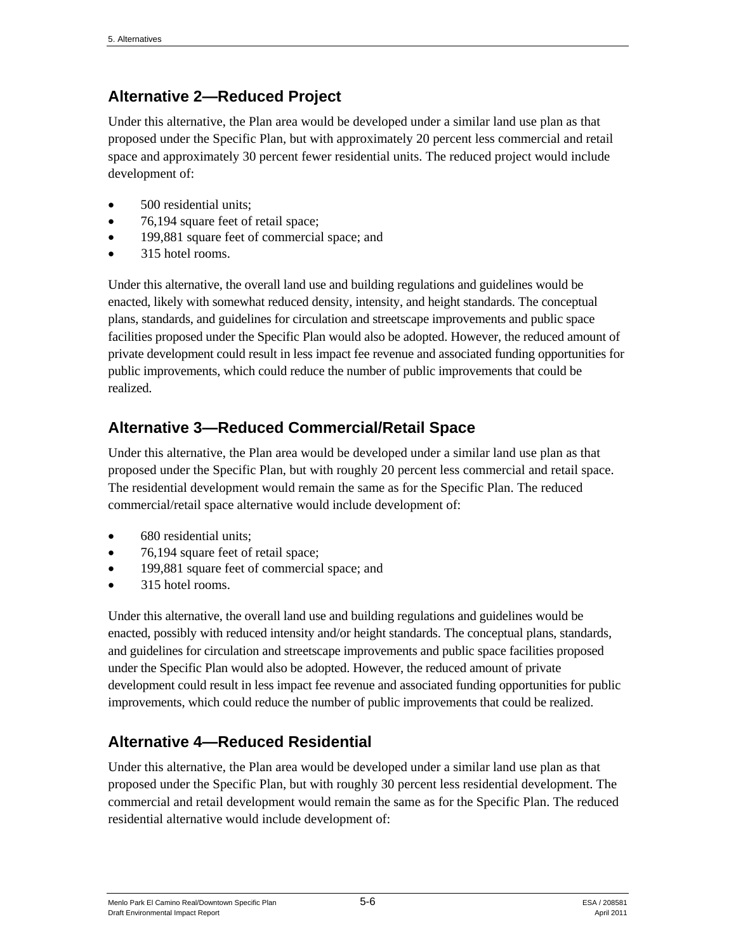## **Alternative 2—Reduced Project**

Under this alternative, the Plan area would be developed under a similar land use plan as that proposed under the Specific Plan, but with approximately 20 percent less commercial and retail space and approximately 30 percent fewer residential units. The reduced project would include development of:

- 500 residential units;
- 76,194 square feet of retail space;
- 199,881 square feet of commercial space; and
- 315 hotel rooms.

Under this alternative, the overall land use and building regulations and guidelines would be enacted, likely with somewhat reduced density, intensity, and height standards. The conceptual plans, standards, and guidelines for circulation and streetscape improvements and public space facilities proposed under the Specific Plan would also be adopted. However, the reduced amount of private development could result in less impact fee revenue and associated funding opportunities for public improvements, which could reduce the number of public improvements that could be realized.

# **Alternative 3—Reduced Commercial/Retail Space**

Under this alternative, the Plan area would be developed under a similar land use plan as that proposed under the Specific Plan, but with roughly 20 percent less commercial and retail space. The residential development would remain the same as for the Specific Plan. The reduced commercial/retail space alternative would include development of:

- 680 residential units;
- 76,194 square feet of retail space;
- 199,881 square feet of commercial space; and
- 315 hotel rooms.

Under this alternative, the overall land use and building regulations and guidelines would be enacted, possibly with reduced intensity and/or height standards. The conceptual plans, standards, and guidelines for circulation and streetscape improvements and public space facilities proposed under the Specific Plan would also be adopted. However, the reduced amount of private development could result in less impact fee revenue and associated funding opportunities for public improvements, which could reduce the number of public improvements that could be realized.

# **Alternative 4—Reduced Residential**

Under this alternative, the Plan area would be developed under a similar land use plan as that proposed under the Specific Plan, but with roughly 30 percent less residential development. The commercial and retail development would remain the same as for the Specific Plan. The reduced residential alternative would include development of: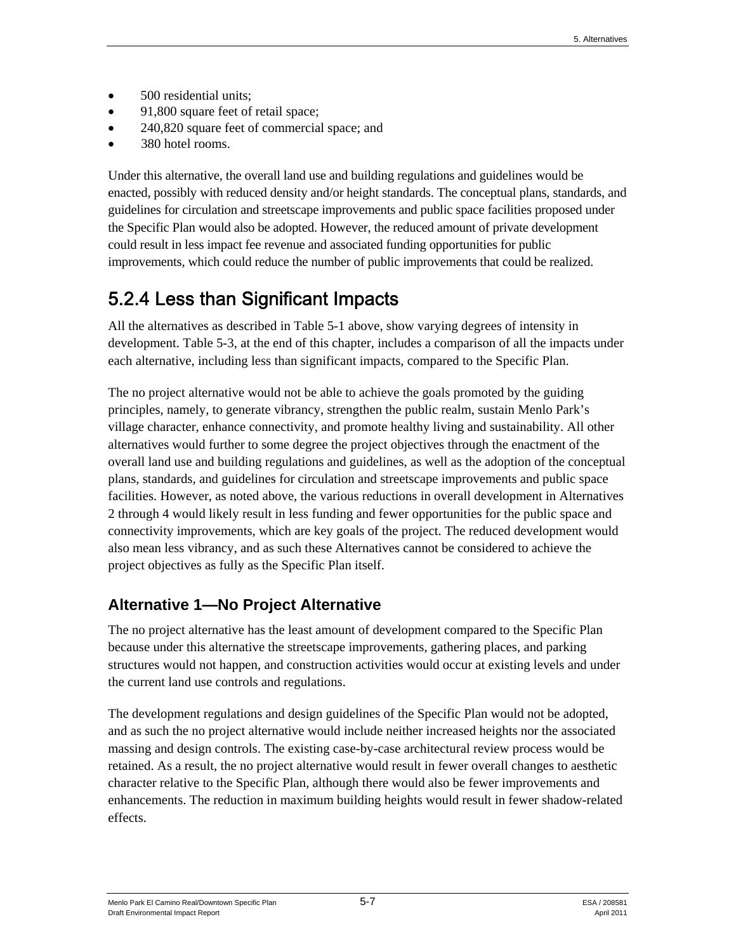- 500 residential units;
- 91,800 square feet of retail space;
- 240,820 square feet of commercial space; and
- 380 hotel rooms.

Under this alternative, the overall land use and building regulations and guidelines would be enacted, possibly with reduced density and/or height standards. The conceptual plans, standards, and guidelines for circulation and streetscape improvements and public space facilities proposed under the Specific Plan would also be adopted. However, the reduced amount of private development could result in less impact fee revenue and associated funding opportunities for public improvements, which could reduce the number of public improvements that could be realized.

# 5.2.4 Less than Significant Impacts

All the alternatives as described in Table 5-1 above, show varying degrees of intensity in development. Table 5-3, at the end of this chapter, includes a comparison of all the impacts under each alternative, including less than significant impacts, compared to the Specific Plan.

The no project alternative would not be able to achieve the goals promoted by the guiding principles, namely, to generate vibrancy, strengthen the public realm, sustain Menlo Park's village character, enhance connectivity, and promote healthy living and sustainability. All other alternatives would further to some degree the project objectives through the enactment of the overall land use and building regulations and guidelines, as well as the adoption of the conceptual plans, standards, and guidelines for circulation and streetscape improvements and public space facilities. However, as noted above, the various reductions in overall development in Alternatives 2 through 4 would likely result in less funding and fewer opportunities for the public space and connectivity improvements, which are key goals of the project. The reduced development would also mean less vibrancy, and as such these Alternatives cannot be considered to achieve the project objectives as fully as the Specific Plan itself.

## **Alternative 1—No Project Alternative**

The no project alternative has the least amount of development compared to the Specific Plan because under this alternative the streetscape improvements, gathering places, and parking structures would not happen, and construction activities would occur at existing levels and under the current land use controls and regulations.

The development regulations and design guidelines of the Specific Plan would not be adopted, and as such the no project alternative would include neither increased heights nor the associated massing and design controls. The existing case-by-case architectural review process would be retained. As a result, the no project alternative would result in fewer overall changes to aesthetic character relative to the Specific Plan, although there would also be fewer improvements and enhancements. The reduction in maximum building heights would result in fewer shadow-related effects.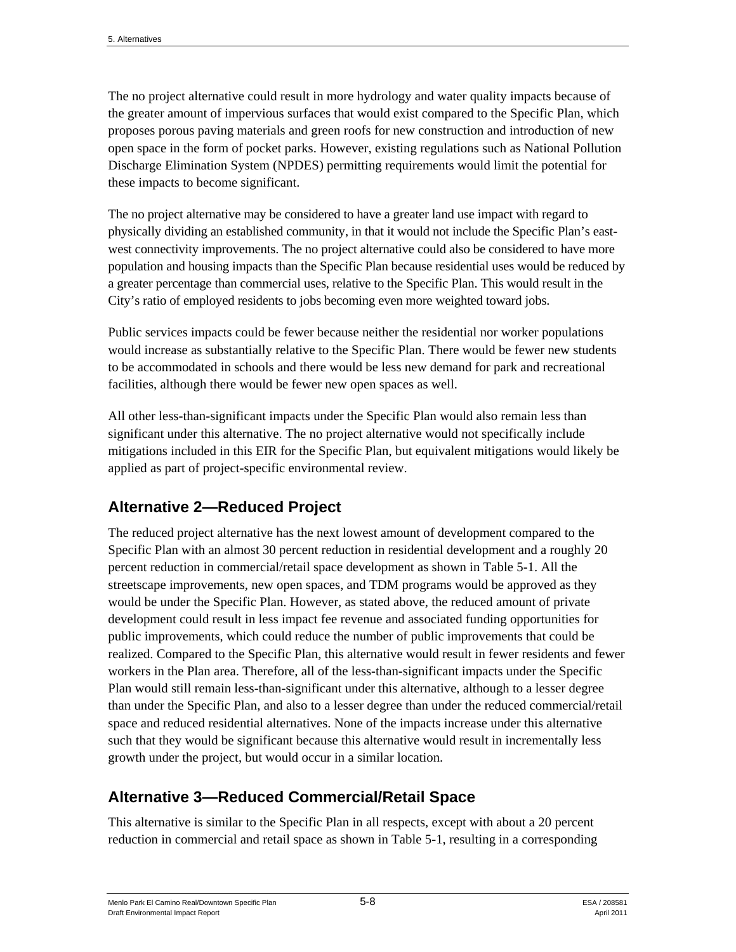The no project alternative could result in more hydrology and water quality impacts because of the greater amount of impervious surfaces that would exist compared to the Specific Plan, which proposes porous paving materials and green roofs for new construction and introduction of new open space in the form of pocket parks. However, existing regulations such as National Pollution Discharge Elimination System (NPDES) permitting requirements would limit the potential for these impacts to become significant.

The no project alternative may be considered to have a greater land use impact with regard to physically dividing an established community, in that it would not include the Specific Plan's eastwest connectivity improvements. The no project alternative could also be considered to have more population and housing impacts than the Specific Plan because residential uses would be reduced by a greater percentage than commercial uses, relative to the Specific Plan. This would result in the City's ratio of employed residents to jobs becoming even more weighted toward jobs.

Public services impacts could be fewer because neither the residential nor worker populations would increase as substantially relative to the Specific Plan. There would be fewer new students to be accommodated in schools and there would be less new demand for park and recreational facilities, although there would be fewer new open spaces as well.

All other less-than-significant impacts under the Specific Plan would also remain less than significant under this alternative. The no project alternative would not specifically include mitigations included in this EIR for the Specific Plan, but equivalent mitigations would likely be applied as part of project-specific environmental review.

# **Alternative 2—Reduced Project**

The reduced project alternative has the next lowest amount of development compared to the Specific Plan with an almost 30 percent reduction in residential development and a roughly 20 percent reduction in commercial/retail space development as shown in Table 5-1. All the streetscape improvements, new open spaces, and TDM programs would be approved as they would be under the Specific Plan. However, as stated above, the reduced amount of private development could result in less impact fee revenue and associated funding opportunities for public improvements, which could reduce the number of public improvements that could be realized. Compared to the Specific Plan, this alternative would result in fewer residents and fewer workers in the Plan area. Therefore, all of the less-than-significant impacts under the Specific Plan would still remain less-than-significant under this alternative, although to a lesser degree than under the Specific Plan, and also to a lesser degree than under the reduced commercial/retail space and reduced residential alternatives. None of the impacts increase under this alternative such that they would be significant because this alternative would result in incrementally less growth under the project, but would occur in a similar location.

## **Alternative 3—Reduced Commercial/Retail Space**

This alternative is similar to the Specific Plan in all respects, except with about a 20 percent reduction in commercial and retail space as shown in Table 5-1, resulting in a corresponding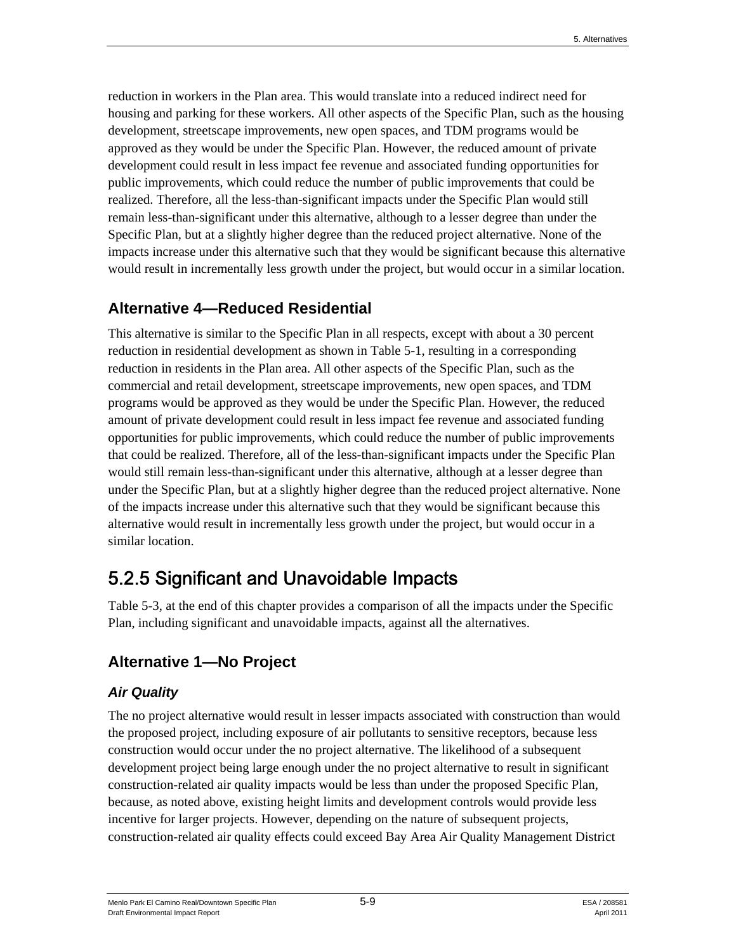reduction in workers in the Plan area. This would translate into a reduced indirect need for housing and parking for these workers. All other aspects of the Specific Plan, such as the housing development, streetscape improvements, new open spaces, and TDM programs would be approved as they would be under the Specific Plan. However, the reduced amount of private development could result in less impact fee revenue and associated funding opportunities for public improvements, which could reduce the number of public improvements that could be realized. Therefore, all the less-than-significant impacts under the Specific Plan would still remain less-than-significant under this alternative, although to a lesser degree than under the Specific Plan, but at a slightly higher degree than the reduced project alternative. None of the impacts increase under this alternative such that they would be significant because this alternative would result in incrementally less growth under the project, but would occur in a similar location.

## **Alternative 4—Reduced Residential**

This alternative is similar to the Specific Plan in all respects, except with about a 30 percent reduction in residential development as shown in Table 5-1, resulting in a corresponding reduction in residents in the Plan area. All other aspects of the Specific Plan, such as the commercial and retail development, streetscape improvements, new open spaces, and TDM programs would be approved as they would be under the Specific Plan. However, the reduced amount of private development could result in less impact fee revenue and associated funding opportunities for public improvements, which could reduce the number of public improvements that could be realized. Therefore, all of the less-than-significant impacts under the Specific Plan would still remain less-than-significant under this alternative, although at a lesser degree than under the Specific Plan, but at a slightly higher degree than the reduced project alternative. None of the impacts increase under this alternative such that they would be significant because this alternative would result in incrementally less growth under the project, but would occur in a similar location.

# 5.2.5 Significant and Unavoidable Impacts

Table 5-3, at the end of this chapter provides a comparison of all the impacts under the Specific Plan, including significant and unavoidable impacts, against all the alternatives.

# **Alternative 1—No Project**

## *Air Quality*

The no project alternative would result in lesser impacts associated with construction than would the proposed project, including exposure of air pollutants to sensitive receptors, because less construction would occur under the no project alternative. The likelihood of a subsequent development project being large enough under the no project alternative to result in significant construction-related air quality impacts would be less than under the proposed Specific Plan, because, as noted above, existing height limits and development controls would provide less incentive for larger projects. However, depending on the nature of subsequent projects, construction-related air quality effects could exceed Bay Area Air Quality Management District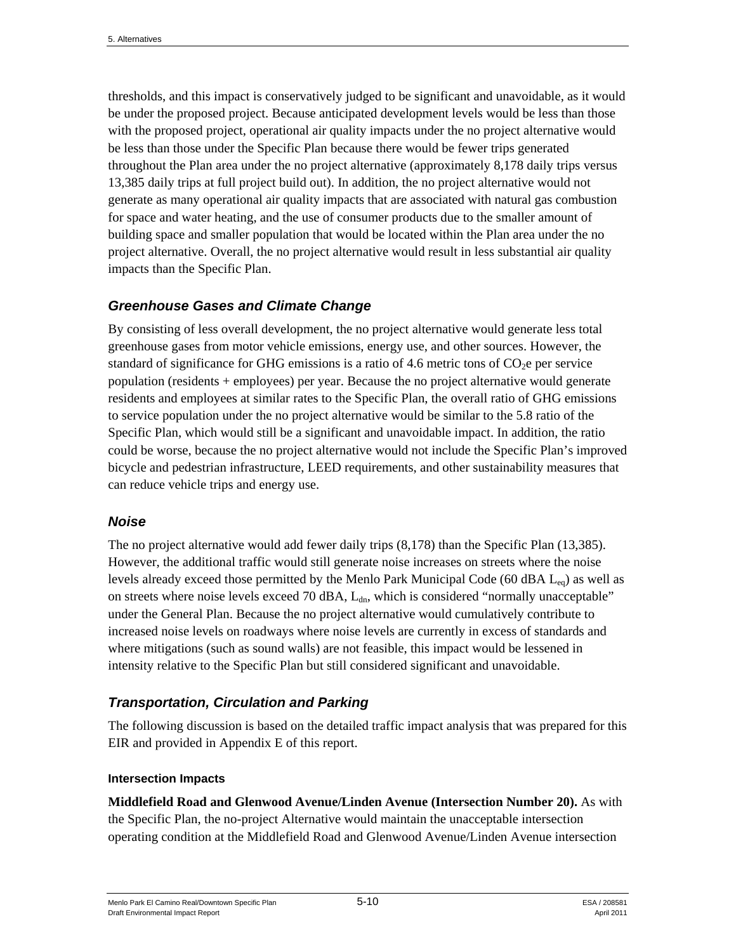thresholds, and this impact is conservatively judged to be significant and unavoidable, as it would be under the proposed project. Because anticipated development levels would be less than those with the proposed project, operational air quality impacts under the no project alternative would be less than those under the Specific Plan because there would be fewer trips generated throughout the Plan area under the no project alternative (approximately 8,178 daily trips versus 13,385 daily trips at full project build out). In addition, the no project alternative would not generate as many operational air quality impacts that are associated with natural gas combustion for space and water heating, and the use of consumer products due to the smaller amount of building space and smaller population that would be located within the Plan area under the no project alternative. Overall, the no project alternative would result in less substantial air quality impacts than the Specific Plan.

#### *Greenhouse Gases and Climate Change*

By consisting of less overall development, the no project alternative would generate less total greenhouse gases from motor vehicle emissions, energy use, and other sources. However, the standard of significance for GHG emissions is a ratio of 4.6 metric tons of  $CO<sub>2</sub>e$  per service population (residents + employees) per year. Because the no project alternative would generate residents and employees at similar rates to the Specific Plan, the overall ratio of GHG emissions to service population under the no project alternative would be similar to the 5.8 ratio of the Specific Plan, which would still be a significant and unavoidable impact. In addition, the ratio could be worse, because the no project alternative would not include the Specific Plan's improved bicycle and pedestrian infrastructure, LEED requirements, and other sustainability measures that can reduce vehicle trips and energy use.

#### *Noise*

The no project alternative would add fewer daily trips (8,178) than the Specific Plan (13,385). However, the additional traffic would still generate noise increases on streets where the noise levels already exceed those permitted by the Menlo Park Municipal Code (60 dBA  $L_{eq}$ ) as well as on streets where noise levels exceed 70 dBA,  $L_{dn}$ , which is considered "normally unacceptable" under the General Plan. Because the no project alternative would cumulatively contribute to increased noise levels on roadways where noise levels are currently in excess of standards and where mitigations (such as sound walls) are not feasible, this impact would be lessened in intensity relative to the Specific Plan but still considered significant and unavoidable.

### *Transportation, Circulation and Parking*

The following discussion is based on the detailed traffic impact analysis that was prepared for this EIR and provided in Appendix E of this report.

#### **Intersection Impacts**

**Middlefield Road and Glenwood Avenue/Linden Avenue (Intersection Number 20).** As with the Specific Plan, the no-project Alternative would maintain the unacceptable intersection operating condition at the Middlefield Road and Glenwood Avenue/Linden Avenue intersection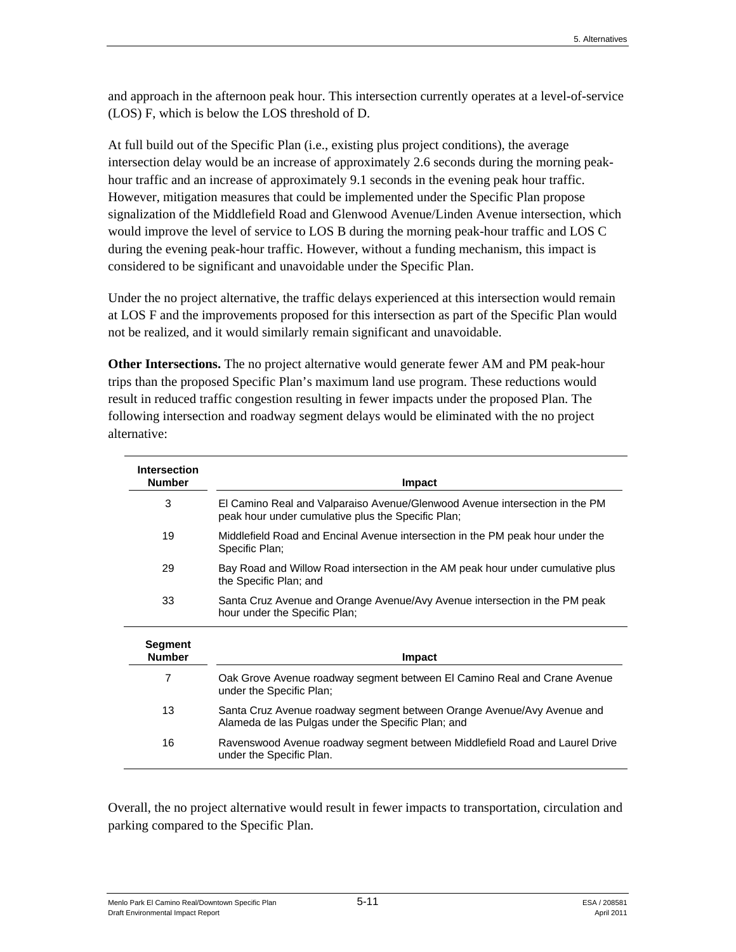and approach in the afternoon peak hour. This intersection currently operates at a level-of-service (LOS) F, which is below the LOS threshold of D.

At full build out of the Specific Plan (i.e., existing plus project conditions), the average intersection delay would be an increase of approximately 2.6 seconds during the morning peakhour traffic and an increase of approximately 9.1 seconds in the evening peak hour traffic. However, mitigation measures that could be implemented under the Specific Plan propose signalization of the Middlefield Road and Glenwood Avenue/Linden Avenue intersection, which would improve the level of service to LOS B during the morning peak-hour traffic and LOS C during the evening peak-hour traffic. However, without a funding mechanism, this impact is considered to be significant and unavoidable under the Specific Plan.

Under the no project alternative, the traffic delays experienced at this intersection would remain at LOS F and the improvements proposed for this intersection as part of the Specific Plan would not be realized, and it would similarly remain significant and unavoidable.

**Other Intersections.** The no project alternative would generate fewer AM and PM peak-hour trips than the proposed Specific Plan's maximum land use program. These reductions would result in reduced traffic congestion resulting in fewer impacts under the proposed Plan. The following intersection and roadway segment delays would be eliminated with the no project alternative:

| <b>Intersection</b><br><b>Number</b> | Impact                                                                                                                            |
|--------------------------------------|-----------------------------------------------------------------------------------------------------------------------------------|
| 3                                    | El Camino Real and Valparaiso Avenue/Glenwood Avenue intersection in the PM<br>peak hour under cumulative plus the Specific Plan; |
| 19                                   | Middlefield Road and Encinal Avenue intersection in the PM peak hour under the<br>Specific Plan:                                  |
| 29                                   | Bay Road and Willow Road intersection in the AM peak hour under cumulative plus<br>the Specific Plan; and                         |
| 33                                   | Santa Cruz Avenue and Orange Avenue/Avy Avenue intersection in the PM peak<br>hour under the Specific Plan;                       |
| <b>Segment</b><br><b>Number</b>      | Impact                                                                                                                            |
| 7                                    | Oak Grove Avenue roadway segment between El Camino Real and Crane Avenue<br>under the Specific Plan;                              |
| 13                                   | Santa Cruz Avenue roadway segment between Orange Avenue/Avy Avenue and<br>Alameda de las Pulgas under the Specific Plan; and      |
| 16                                   | Ravenswood Avenue roadway segment between Middlefield Road and Laurel Drive<br>under the Specific Plan.                           |

Overall, the no project alternative would result in fewer impacts to transportation, circulation and parking compared to the Specific Plan.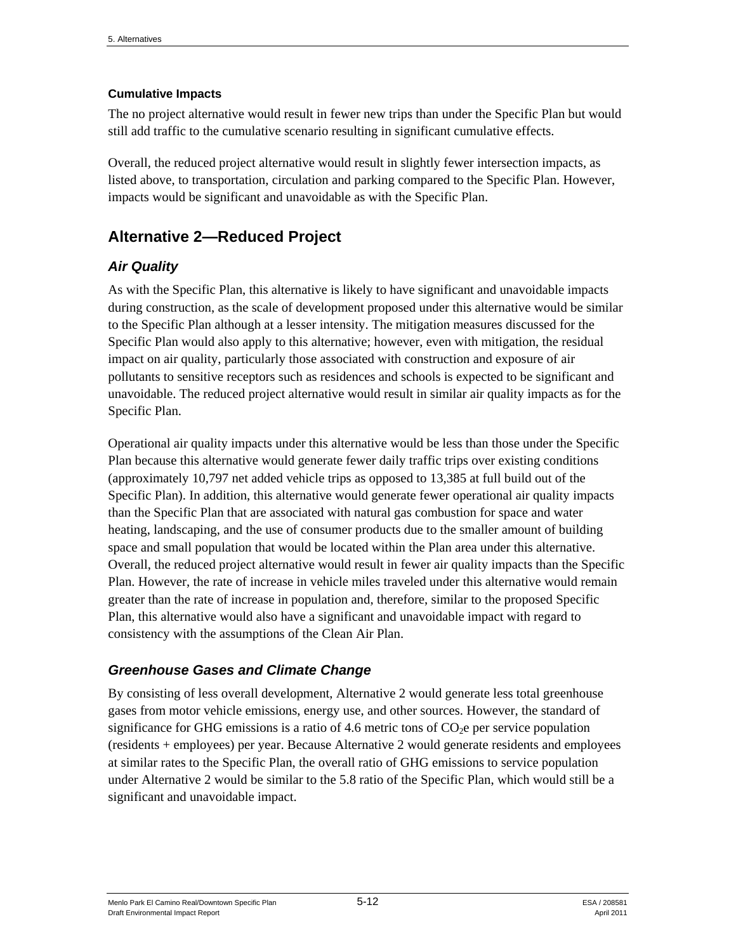#### **Cumulative Impacts**

The no project alternative would result in fewer new trips than under the Specific Plan but would still add traffic to the cumulative scenario resulting in significant cumulative effects.

Overall, the reduced project alternative would result in slightly fewer intersection impacts, as listed above, to transportation, circulation and parking compared to the Specific Plan. However, impacts would be significant and unavoidable as with the Specific Plan.

## **Alternative 2—Reduced Project**

## *Air Quality*

As with the Specific Plan, this alternative is likely to have significant and unavoidable impacts during construction, as the scale of development proposed under this alternative would be similar to the Specific Plan although at a lesser intensity. The mitigation measures discussed for the Specific Plan would also apply to this alternative; however, even with mitigation, the residual impact on air quality, particularly those associated with construction and exposure of air pollutants to sensitive receptors such as residences and schools is expected to be significant and unavoidable. The reduced project alternative would result in similar air quality impacts as for the Specific Plan.

Operational air quality impacts under this alternative would be less than those under the Specific Plan because this alternative would generate fewer daily traffic trips over existing conditions (approximately 10,797 net added vehicle trips as opposed to 13,385 at full build out of the Specific Plan). In addition, this alternative would generate fewer operational air quality impacts than the Specific Plan that are associated with natural gas combustion for space and water heating, landscaping, and the use of consumer products due to the smaller amount of building space and small population that would be located within the Plan area under this alternative. Overall, the reduced project alternative would result in fewer air quality impacts than the Specific Plan. However, the rate of increase in vehicle miles traveled under this alternative would remain greater than the rate of increase in population and, therefore, similar to the proposed Specific Plan, this alternative would also have a significant and unavoidable impact with regard to consistency with the assumptions of the Clean Air Plan.

### *Greenhouse Gases and Climate Change*

By consisting of less overall development, Alternative 2 would generate less total greenhouse gases from motor vehicle emissions, energy use, and other sources. However, the standard of significance for GHG emissions is a ratio of 4.6 metric tons of  $CO<sub>2</sub>e$  per service population (residents + employees) per year. Because Alternative 2 would generate residents and employees at similar rates to the Specific Plan, the overall ratio of GHG emissions to service population under Alternative 2 would be similar to the 5.8 ratio of the Specific Plan, which would still be a significant and unavoidable impact.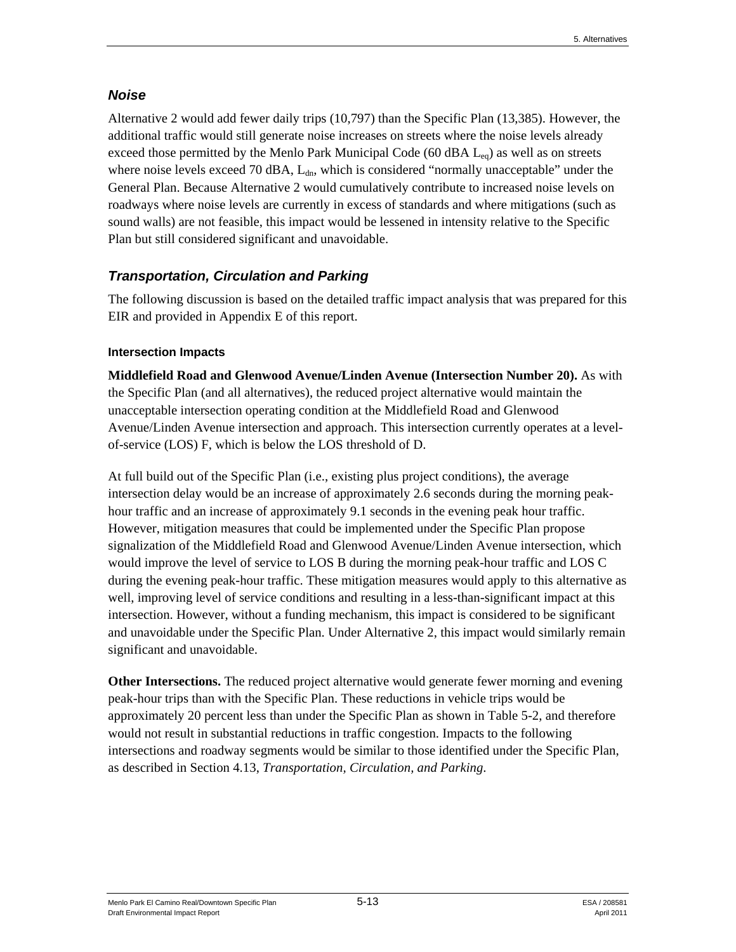### *Noise*

Alternative 2 would add fewer daily trips (10,797) than the Specific Plan (13,385). However, the additional traffic would still generate noise increases on streets where the noise levels already exceed those permitted by the Menlo Park Municipal Code (60 dBA  $L_{eq}$ ) as well as on streets where noise levels exceed 70 dBA,  $L_{dn}$ , which is considered "normally unacceptable" under the General Plan. Because Alternative 2 would cumulatively contribute to increased noise levels on roadways where noise levels are currently in excess of standards and where mitigations (such as sound walls) are not feasible, this impact would be lessened in intensity relative to the Specific Plan but still considered significant and unavoidable.

## *Transportation, Circulation and Parking*

The following discussion is based on the detailed traffic impact analysis that was prepared for this EIR and provided in Appendix E of this report.

### **Intersection Impacts**

**Middlefield Road and Glenwood Avenue/Linden Avenue (Intersection Number 20).** As with the Specific Plan (and all alternatives), the reduced project alternative would maintain the unacceptable intersection operating condition at the Middlefield Road and Glenwood Avenue/Linden Avenue intersection and approach. This intersection currently operates at a levelof-service (LOS) F, which is below the LOS threshold of D.

At full build out of the Specific Plan (i.e., existing plus project conditions), the average intersection delay would be an increase of approximately 2.6 seconds during the morning peakhour traffic and an increase of approximately 9.1 seconds in the evening peak hour traffic. However, mitigation measures that could be implemented under the Specific Plan propose signalization of the Middlefield Road and Glenwood Avenue/Linden Avenue intersection, which would improve the level of service to LOS B during the morning peak-hour traffic and LOS C during the evening peak-hour traffic. These mitigation measures would apply to this alternative as well, improving level of service conditions and resulting in a less-than-significant impact at this intersection. However, without a funding mechanism, this impact is considered to be significant and unavoidable under the Specific Plan. Under Alternative 2, this impact would similarly remain significant and unavoidable.

**Other Intersections.** The reduced project alternative would generate fewer morning and evening peak-hour trips than with the Specific Plan. These reductions in vehicle trips would be approximately 20 percent less than under the Specific Plan as shown in Table 5-2, and therefore would not result in substantial reductions in traffic congestion. Impacts to the following intersections and roadway segments would be similar to those identified under the Specific Plan, as described in Section 4.13, *Transportation, Circulation, and Parking*.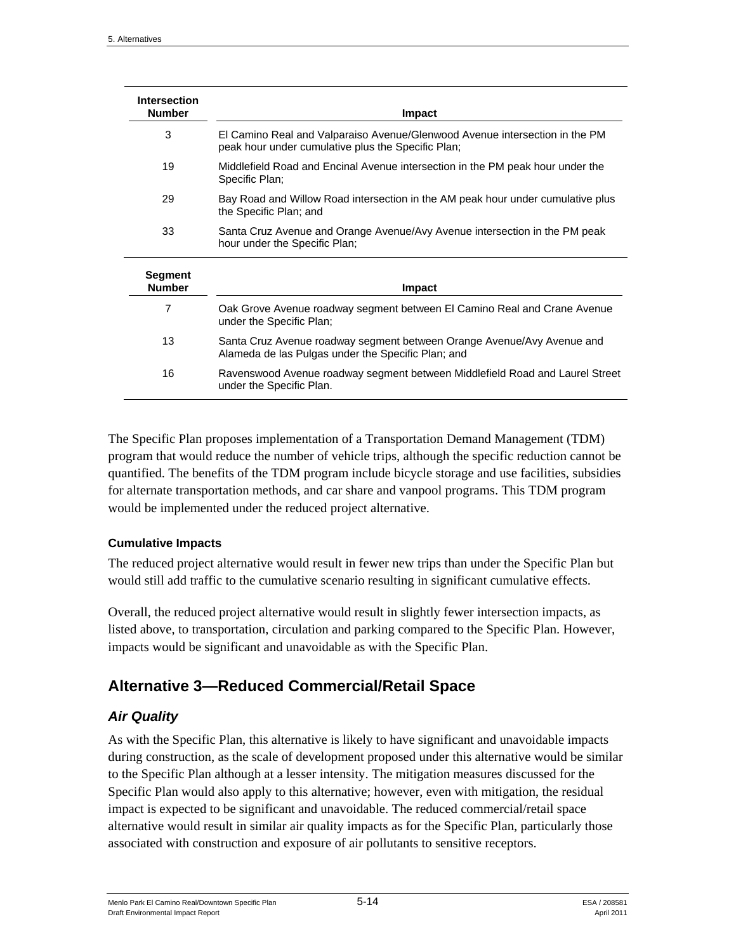| <b>Intersection</b><br><b>Number</b> | Impact                                                                                                                            |
|--------------------------------------|-----------------------------------------------------------------------------------------------------------------------------------|
| 3                                    | El Camino Real and Valparaiso Avenue/Glenwood Avenue intersection in the PM<br>peak hour under cumulative plus the Specific Plan; |
| 19                                   | Middlefield Road and Encinal Avenue intersection in the PM peak hour under the<br>Specific Plan;                                  |
| 29                                   | Bay Road and Willow Road intersection in the AM peak hour under cumulative plus<br>the Specific Plan; and                         |
| 33                                   | Santa Cruz Avenue and Orange Avenue/Avy Avenue intersection in the PM peak<br>hour under the Specific Plan;                       |
| <b>Segment</b><br><b>Number</b>      | <b>Impact</b>                                                                                                                     |
| 7                                    | Oak Grove Avenue roadway segment between El Camino Real and Crane Avenue<br>under the Specific Plan;                              |
| 13                                   | Santa Cruz Avenue roadway segment between Orange Avenue/Avy Avenue and<br>Alameda de las Pulgas under the Specific Plan; and      |
| 16                                   | Ravenswood Avenue roadway segment between Middlefield Road and Laurel Street<br>under the Specific Plan.                          |

The Specific Plan proposes implementation of a Transportation Demand Management (TDM) program that would reduce the number of vehicle trips, although the specific reduction cannot be quantified. The benefits of the TDM program include bicycle storage and use facilities, subsidies for alternate transportation methods, and car share and vanpool programs. This TDM program would be implemented under the reduced project alternative.

#### **Cumulative Impacts**

The reduced project alternative would result in fewer new trips than under the Specific Plan but would still add traffic to the cumulative scenario resulting in significant cumulative effects.

Overall, the reduced project alternative would result in slightly fewer intersection impacts, as listed above, to transportation, circulation and parking compared to the Specific Plan. However, impacts would be significant and unavoidable as with the Specific Plan.

## **Alternative 3—Reduced Commercial/Retail Space**

### *Air Quality*

As with the Specific Plan, this alternative is likely to have significant and unavoidable impacts during construction, as the scale of development proposed under this alternative would be similar to the Specific Plan although at a lesser intensity. The mitigation measures discussed for the Specific Plan would also apply to this alternative; however, even with mitigation, the residual impact is expected to be significant and unavoidable. The reduced commercial/retail space alternative would result in similar air quality impacts as for the Specific Plan, particularly those associated with construction and exposure of air pollutants to sensitive receptors.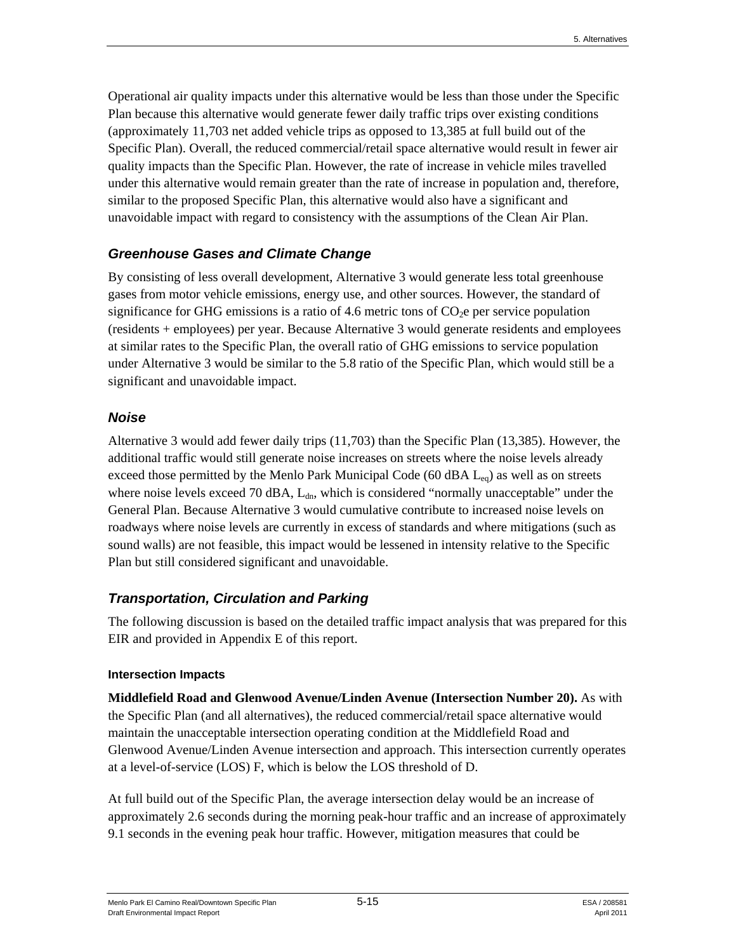Operational air quality impacts under this alternative would be less than those under the Specific Plan because this alternative would generate fewer daily traffic trips over existing conditions (approximately 11,703 net added vehicle trips as opposed to 13,385 at full build out of the Specific Plan). Overall, the reduced commercial/retail space alternative would result in fewer air quality impacts than the Specific Plan. However, the rate of increase in vehicle miles travelled under this alternative would remain greater than the rate of increase in population and, therefore, similar to the proposed Specific Plan, this alternative would also have a significant and unavoidable impact with regard to consistency with the assumptions of the Clean Air Plan.

#### *Greenhouse Gases and Climate Change*

By consisting of less overall development, Alternative 3 would generate less total greenhouse gases from motor vehicle emissions, energy use, and other sources. However, the standard of significance for GHG emissions is a ratio of 4.6 metric tons of  $CO<sub>2</sub>e$  per service population (residents + employees) per year. Because Alternative 3 would generate residents and employees at similar rates to the Specific Plan, the overall ratio of GHG emissions to service population under Alternative 3 would be similar to the 5.8 ratio of the Specific Plan, which would still be a significant and unavoidable impact.

#### *Noise*

Alternative 3 would add fewer daily trips (11,703) than the Specific Plan (13,385). However, the additional traffic would still generate noise increases on streets where the noise levels already exceed those permitted by the Menlo Park Municipal Code (60 dBA L<sub>eq</sub>) as well as on streets where noise levels exceed 70 dBA,  $L_{dn}$ , which is considered "normally unacceptable" under the General Plan. Because Alternative 3 would cumulative contribute to increased noise levels on roadways where noise levels are currently in excess of standards and where mitigations (such as sound walls) are not feasible, this impact would be lessened in intensity relative to the Specific Plan but still considered significant and unavoidable.

### *Transportation, Circulation and Parking*

The following discussion is based on the detailed traffic impact analysis that was prepared for this EIR and provided in Appendix E of this report.

#### **Intersection Impacts**

**Middlefield Road and Glenwood Avenue/Linden Avenue (Intersection Number 20).** As with the Specific Plan (and all alternatives), the reduced commercial/retail space alternative would maintain the unacceptable intersection operating condition at the Middlefield Road and Glenwood Avenue/Linden Avenue intersection and approach. This intersection currently operates at a level-of-service (LOS) F, which is below the LOS threshold of D.

At full build out of the Specific Plan, the average intersection delay would be an increase of approximately 2.6 seconds during the morning peak-hour traffic and an increase of approximately 9.1 seconds in the evening peak hour traffic. However, mitigation measures that could be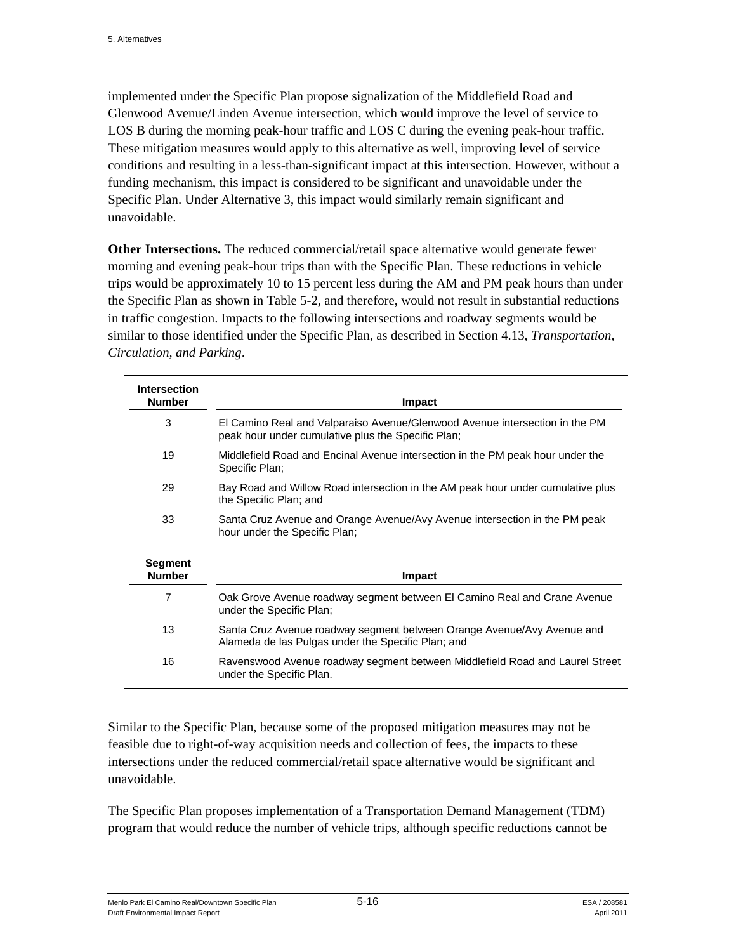implemented under the Specific Plan propose signalization of the Middlefield Road and Glenwood Avenue/Linden Avenue intersection, which would improve the level of service to LOS B during the morning peak-hour traffic and LOS C during the evening peak-hour traffic. These mitigation measures would apply to this alternative as well, improving level of service conditions and resulting in a less-than-significant impact at this intersection. However, without a funding mechanism, this impact is considered to be significant and unavoidable under the Specific Plan. Under Alternative 3, this impact would similarly remain significant and unavoidable.

**Other Intersections.** The reduced commercial/retail space alternative would generate fewer morning and evening peak-hour trips than with the Specific Plan. These reductions in vehicle trips would be approximately 10 to 15 percent less during the AM and PM peak hours than under the Specific Plan as shown in Table 5-2, and therefore, would not result in substantial reductions in traffic congestion. Impacts to the following intersections and roadway segments would be similar to those identified under the Specific Plan, as described in Section 4.13, *Transportation, Circulation, and Parking*.

| <b>Intersection</b><br><b>Number</b> | Impact                                                                                                                            |
|--------------------------------------|-----------------------------------------------------------------------------------------------------------------------------------|
| 3                                    | El Camino Real and Valparaiso Avenue/Glenwood Avenue intersection in the PM<br>peak hour under cumulative plus the Specific Plan; |
| 19                                   | Middlefield Road and Encinal Avenue intersection in the PM peak hour under the<br>Specific Plan:                                  |
| 29                                   | Bay Road and Willow Road intersection in the AM peak hour under cumulative plus<br>the Specific Plan; and                         |
| 33                                   | Santa Cruz Avenue and Orange Avenue/Avy Avenue intersection in the PM peak<br>hour under the Specific Plan;                       |
| <b>Segment</b><br><b>Number</b>      | Impact                                                                                                                            |
| $\overline{7}$                       | Oak Grove Avenue roadway segment between El Camino Real and Crane Avenue<br>under the Specific Plan;                              |
| 13                                   | Santa Cruz Avenue roadway segment between Orange Avenue/Avy Avenue and<br>Alameda de las Pulgas under the Specific Plan; and      |
| 16                                   | Ravenswood Avenue roadway segment between Middlefield Road and Laurel Street<br>under the Specific Plan.                          |

Similar to the Specific Plan, because some of the proposed mitigation measures may not be feasible due to right-of-way acquisition needs and collection of fees, the impacts to these intersections under the reduced commercial/retail space alternative would be significant and unavoidable.

The Specific Plan proposes implementation of a Transportation Demand Management (TDM) program that would reduce the number of vehicle trips, although specific reductions cannot be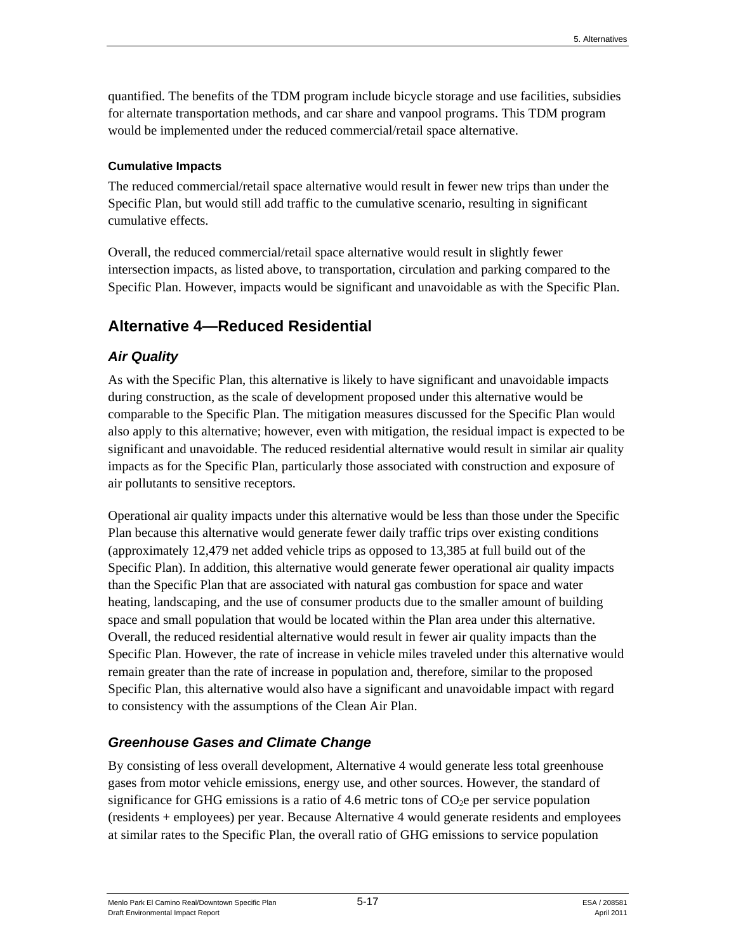quantified. The benefits of the TDM program include bicycle storage and use facilities, subsidies for alternate transportation methods, and car share and vanpool programs. This TDM program would be implemented under the reduced commercial/retail space alternative.

#### **Cumulative Impacts**

The reduced commercial/retail space alternative would result in fewer new trips than under the Specific Plan, but would still add traffic to the cumulative scenario, resulting in significant cumulative effects.

Overall, the reduced commercial/retail space alternative would result in slightly fewer intersection impacts, as listed above, to transportation, circulation and parking compared to the Specific Plan. However, impacts would be significant and unavoidable as with the Specific Plan.

## **Alternative 4—Reduced Residential**

### *Air Quality*

As with the Specific Plan, this alternative is likely to have significant and unavoidable impacts during construction, as the scale of development proposed under this alternative would be comparable to the Specific Plan. The mitigation measures discussed for the Specific Plan would also apply to this alternative; however, even with mitigation, the residual impact is expected to be significant and unavoidable. The reduced residential alternative would result in similar air quality impacts as for the Specific Plan, particularly those associated with construction and exposure of air pollutants to sensitive receptors.

Operational air quality impacts under this alternative would be less than those under the Specific Plan because this alternative would generate fewer daily traffic trips over existing conditions (approximately 12,479 net added vehicle trips as opposed to 13,385 at full build out of the Specific Plan). In addition, this alternative would generate fewer operational air quality impacts than the Specific Plan that are associated with natural gas combustion for space and water heating, landscaping, and the use of consumer products due to the smaller amount of building space and small population that would be located within the Plan area under this alternative. Overall, the reduced residential alternative would result in fewer air quality impacts than the Specific Plan. However, the rate of increase in vehicle miles traveled under this alternative would remain greater than the rate of increase in population and, therefore, similar to the proposed Specific Plan, this alternative would also have a significant and unavoidable impact with regard to consistency with the assumptions of the Clean Air Plan.

### *Greenhouse Gases and Climate Change*

By consisting of less overall development, Alternative 4 would generate less total greenhouse gases from motor vehicle emissions, energy use, and other sources. However, the standard of significance for GHG emissions is a ratio of 4.6 metric tons of  $CO<sub>2</sub>e$  per service population (residents + employees) per year. Because Alternative 4 would generate residents and employees at similar rates to the Specific Plan, the overall ratio of GHG emissions to service population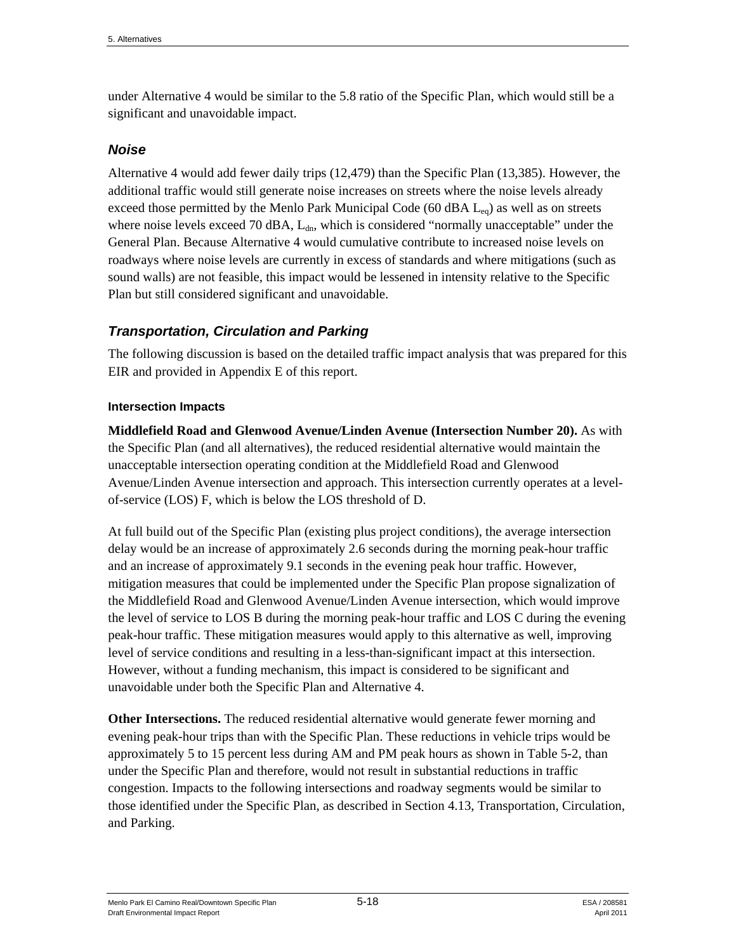under Alternative 4 would be similar to the 5.8 ratio of the Specific Plan, which would still be a significant and unavoidable impact.

#### *Noise*

Alternative 4 would add fewer daily trips (12,479) than the Specific Plan (13,385). However, the additional traffic would still generate noise increases on streets where the noise levels already exceed those permitted by the Menlo Park Municipal Code (60 dBA  $L_{eq}$ ) as well as on streets where noise levels exceed 70 dBA,  $L_{dn}$ , which is considered "normally unacceptable" under the General Plan. Because Alternative 4 would cumulative contribute to increased noise levels on roadways where noise levels are currently in excess of standards and where mitigations (such as sound walls) are not feasible, this impact would be lessened in intensity relative to the Specific Plan but still considered significant and unavoidable.

### *Transportation, Circulation and Parking*

The following discussion is based on the detailed traffic impact analysis that was prepared for this EIR and provided in Appendix E of this report.

#### **Intersection Impacts**

**Middlefield Road and Glenwood Avenue/Linden Avenue (Intersection Number 20).** As with the Specific Plan (and all alternatives), the reduced residential alternative would maintain the unacceptable intersection operating condition at the Middlefield Road and Glenwood Avenue/Linden Avenue intersection and approach. This intersection currently operates at a levelof-service (LOS) F, which is below the LOS threshold of D.

At full build out of the Specific Plan (existing plus project conditions), the average intersection delay would be an increase of approximately 2.6 seconds during the morning peak-hour traffic and an increase of approximately 9.1 seconds in the evening peak hour traffic. However, mitigation measures that could be implemented under the Specific Plan propose signalization of the Middlefield Road and Glenwood Avenue/Linden Avenue intersection, which would improve the level of service to LOS B during the morning peak-hour traffic and LOS C during the evening peak-hour traffic. These mitigation measures would apply to this alternative as well, improving level of service conditions and resulting in a less-than-significant impact at this intersection. However, without a funding mechanism, this impact is considered to be significant and unavoidable under both the Specific Plan and Alternative 4.

**Other Intersections.** The reduced residential alternative would generate fewer morning and evening peak-hour trips than with the Specific Plan. These reductions in vehicle trips would be approximately 5 to 15 percent less during AM and PM peak hours as shown in Table 5-2, than under the Specific Plan and therefore, would not result in substantial reductions in traffic congestion. Impacts to the following intersections and roadway segments would be similar to those identified under the Specific Plan, as described in Section 4.13, Transportation, Circulation, and Parking.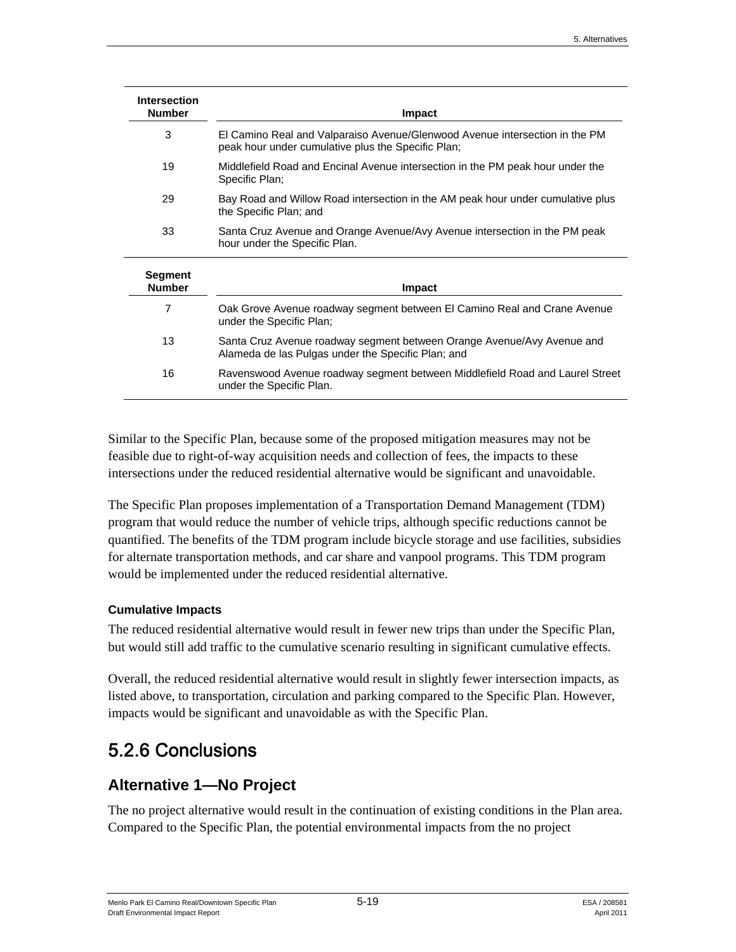| <b>Intersection</b><br><b>Number</b> | Impact                                                                                                                            |
|--------------------------------------|-----------------------------------------------------------------------------------------------------------------------------------|
| 3                                    | El Camino Real and Valparaiso Avenue/Glenwood Avenue intersection in the PM<br>peak hour under cumulative plus the Specific Plan; |
| 19                                   | Middlefield Road and Encinal Avenue intersection in the PM peak hour under the<br>Specific Plan;                                  |
| 29                                   | Bay Road and Willow Road intersection in the AM peak hour under cumulative plus<br>the Specific Plan; and                         |
| 33                                   | Santa Cruz Avenue and Orange Avenue/Avy Avenue intersection in the PM peak<br>hour under the Specific Plan.                       |
| Segment<br><b>Number</b>             | Impact                                                                                                                            |
| 7                                    | Oak Grove Avenue roadway segment between El Camino Real and Crane Avenue<br>under the Specific Plan;                              |
| 13                                   | Santa Cruz Avenue roadway segment between Orange Avenue/Avy Avenue and<br>Alameda de las Pulgas under the Specific Plan; and      |
| 16                                   | Ravenswood Avenue roadway segment between Middlefield Road and Laurel Street<br>under the Specific Plan.                          |

Similar to the Specific Plan, because some of the proposed mitigation measures may not be feasible due to right-of-way acquisition needs and collection of fees, the impacts to these intersections under the reduced residential alternative would be significant and unavoidable.

The Specific Plan proposes implementation of a Transportation Demand Management (TDM) program that would reduce the number of vehicle trips, although specific reductions cannot be quantified. The benefits of the TDM program include bicycle storage and use facilities, subsidies for alternate transportation methods, and car share and vanpool programs. This TDM program would be implemented under the reduced residential alternative.

#### **Cumulative Impacts**

The reduced residential alternative would result in fewer new trips than under the Specific Plan, but would still add traffic to the cumulative scenario resulting in significant cumulative effects.

Overall, the reduced residential alternative would result in slightly fewer intersection impacts, as listed above, to transportation, circulation and parking compared to the Specific Plan. However, impacts would be significant and unavoidable as with the Specific Plan.

# 5.2.6 Conclusions

## **Alternative 1—No Project**

The no project alternative would result in the continuation of existing conditions in the Plan area. Compared to the Specific Plan, the potential environmental impacts from the no project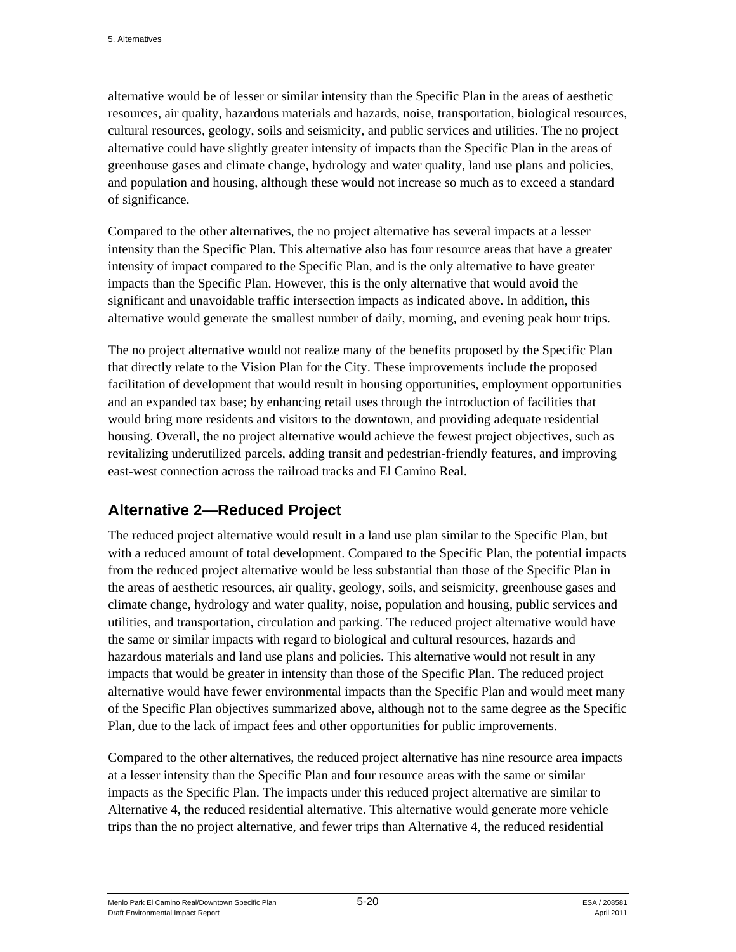alternative would be of lesser or similar intensity than the Specific Plan in the areas of aesthetic resources, air quality, hazardous materials and hazards, noise, transportation, biological resources, cultural resources, geology, soils and seismicity, and public services and utilities. The no project alternative could have slightly greater intensity of impacts than the Specific Plan in the areas of greenhouse gases and climate change, hydrology and water quality, land use plans and policies, and population and housing, although these would not increase so much as to exceed a standard of significance.

Compared to the other alternatives, the no project alternative has several impacts at a lesser intensity than the Specific Plan. This alternative also has four resource areas that have a greater intensity of impact compared to the Specific Plan, and is the only alternative to have greater impacts than the Specific Plan. However, this is the only alternative that would avoid the significant and unavoidable traffic intersection impacts as indicated above. In addition, this alternative would generate the smallest number of daily, morning, and evening peak hour trips.

The no project alternative would not realize many of the benefits proposed by the Specific Plan that directly relate to the Vision Plan for the City. These improvements include the proposed facilitation of development that would result in housing opportunities, employment opportunities and an expanded tax base; by enhancing retail uses through the introduction of facilities that would bring more residents and visitors to the downtown, and providing adequate residential housing. Overall, the no project alternative would achieve the fewest project objectives, such as revitalizing underutilized parcels, adding transit and pedestrian-friendly features, and improving east-west connection across the railroad tracks and El Camino Real.

# **Alternative 2—Reduced Project**

The reduced project alternative would result in a land use plan similar to the Specific Plan, but with a reduced amount of total development. Compared to the Specific Plan, the potential impacts from the reduced project alternative would be less substantial than those of the Specific Plan in the areas of aesthetic resources, air quality, geology, soils, and seismicity, greenhouse gases and climate change, hydrology and water quality, noise, population and housing, public services and utilities, and transportation, circulation and parking. The reduced project alternative would have the same or similar impacts with regard to biological and cultural resources, hazards and hazardous materials and land use plans and policies. This alternative would not result in any impacts that would be greater in intensity than those of the Specific Plan. The reduced project alternative would have fewer environmental impacts than the Specific Plan and would meet many of the Specific Plan objectives summarized above, although not to the same degree as the Specific Plan, due to the lack of impact fees and other opportunities for public improvements.

Compared to the other alternatives, the reduced project alternative has nine resource area impacts at a lesser intensity than the Specific Plan and four resource areas with the same or similar impacts as the Specific Plan. The impacts under this reduced project alternative are similar to Alternative 4, the reduced residential alternative. This alternative would generate more vehicle trips than the no project alternative, and fewer trips than Alternative 4, the reduced residential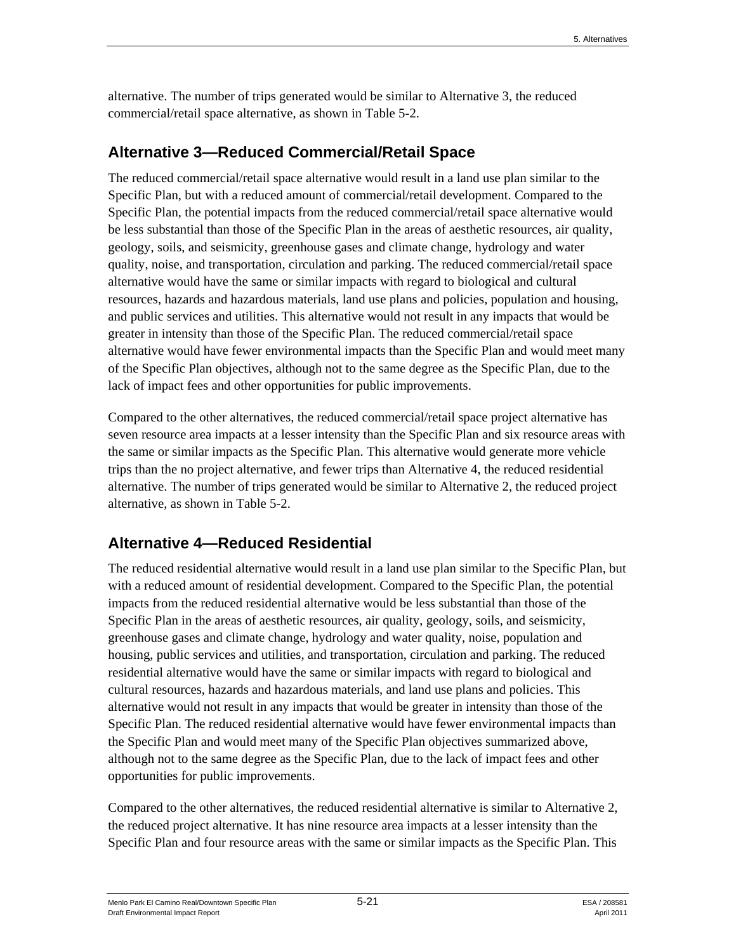alternative. The number of trips generated would be similar to Alternative 3, the reduced commercial/retail space alternative, as shown in Table 5-2.

## **Alternative 3—Reduced Commercial/Retail Space**

The reduced commercial/retail space alternative would result in a land use plan similar to the Specific Plan, but with a reduced amount of commercial/retail development. Compared to the Specific Plan, the potential impacts from the reduced commercial/retail space alternative would be less substantial than those of the Specific Plan in the areas of aesthetic resources, air quality, geology, soils, and seismicity, greenhouse gases and climate change, hydrology and water quality, noise, and transportation, circulation and parking. The reduced commercial/retail space alternative would have the same or similar impacts with regard to biological and cultural resources, hazards and hazardous materials, land use plans and policies, population and housing, and public services and utilities. This alternative would not result in any impacts that would be greater in intensity than those of the Specific Plan. The reduced commercial/retail space alternative would have fewer environmental impacts than the Specific Plan and would meet many of the Specific Plan objectives, although not to the same degree as the Specific Plan, due to the lack of impact fees and other opportunities for public improvements.

Compared to the other alternatives, the reduced commercial/retail space project alternative has seven resource area impacts at a lesser intensity than the Specific Plan and six resource areas with the same or similar impacts as the Specific Plan. This alternative would generate more vehicle trips than the no project alternative, and fewer trips than Alternative 4, the reduced residential alternative. The number of trips generated would be similar to Alternative 2, the reduced project alternative, as shown in Table 5-2.

## **Alternative 4—Reduced Residential**

The reduced residential alternative would result in a land use plan similar to the Specific Plan, but with a reduced amount of residential development. Compared to the Specific Plan, the potential impacts from the reduced residential alternative would be less substantial than those of the Specific Plan in the areas of aesthetic resources, air quality, geology, soils, and seismicity, greenhouse gases and climate change, hydrology and water quality, noise, population and housing, public services and utilities, and transportation, circulation and parking. The reduced residential alternative would have the same or similar impacts with regard to biological and cultural resources, hazards and hazardous materials, and land use plans and policies. This alternative would not result in any impacts that would be greater in intensity than those of the Specific Plan. The reduced residential alternative would have fewer environmental impacts than the Specific Plan and would meet many of the Specific Plan objectives summarized above, although not to the same degree as the Specific Plan, due to the lack of impact fees and other opportunities for public improvements.

Compared to the other alternatives, the reduced residential alternative is similar to Alternative 2, the reduced project alternative. It has nine resource area impacts at a lesser intensity than the Specific Plan and four resource areas with the same or similar impacts as the Specific Plan. This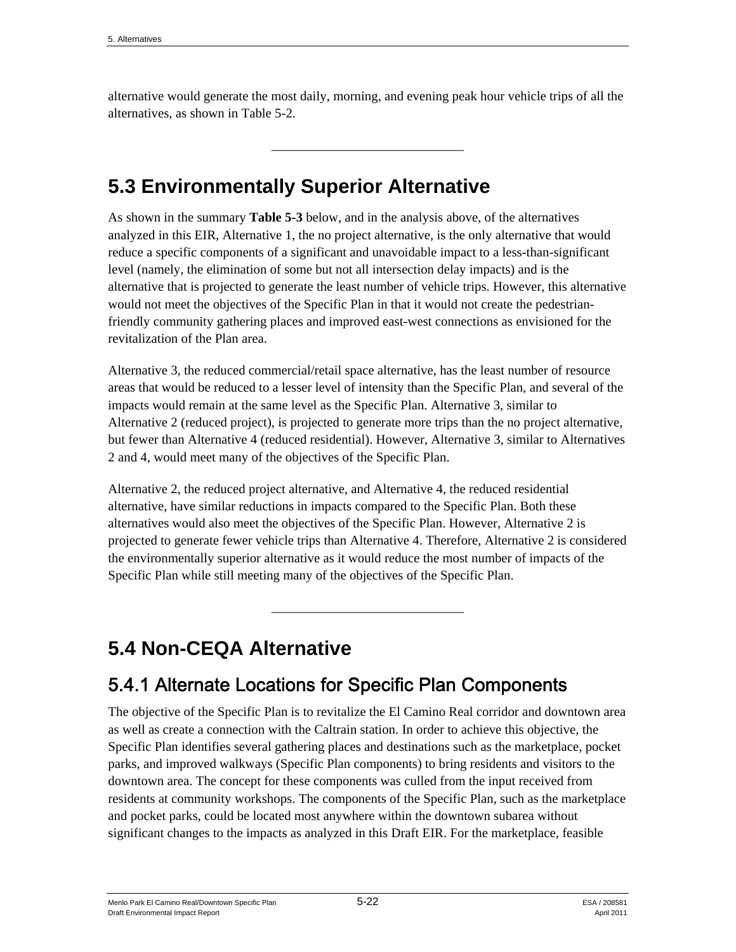alternative would generate the most daily, morning, and evening peak hour vehicle trips of all the alternatives, as shown in Table 5-2.

\_\_\_\_\_\_\_\_\_\_\_\_\_\_\_\_\_\_\_\_\_\_\_\_\_\_\_\_\_

# **5.3 Environmentally Superior Alternative**

As shown in the summary **Table 5-3** below, and in the analysis above, of the alternatives analyzed in this EIR, Alternative 1, the no project alternative, is the only alternative that would reduce a specific components of a significant and unavoidable impact to a less-than-significant level (namely, the elimination of some but not all intersection delay impacts) and is the alternative that is projected to generate the least number of vehicle trips. However, this alternative would not meet the objectives of the Specific Plan in that it would not create the pedestrianfriendly community gathering places and improved east-west connections as envisioned for the revitalization of the Plan area.

Alternative 3, the reduced commercial/retail space alternative, has the least number of resource areas that would be reduced to a lesser level of intensity than the Specific Plan, and several of the impacts would remain at the same level as the Specific Plan. Alternative 3, similar to Alternative 2 (reduced project), is projected to generate more trips than the no project alternative, but fewer than Alternative 4 (reduced residential). However, Alternative 3, similar to Alternatives 2 and 4, would meet many of the objectives of the Specific Plan.

Alternative 2, the reduced project alternative, and Alternative 4, the reduced residential alternative, have similar reductions in impacts compared to the Specific Plan. Both these alternatives would also meet the objectives of the Specific Plan. However, Alternative 2 is projected to generate fewer vehicle trips than Alternative 4. Therefore, Alternative 2 is considered the environmentally superior alternative as it would reduce the most number of impacts of the Specific Plan while still meeting many of the objectives of the Specific Plan.

\_\_\_\_\_\_\_\_\_\_\_\_\_\_\_\_\_\_\_\_\_\_\_\_\_\_\_\_\_

# **5.4 Non-CEQA Alternative**

# 5.4.1 Alternate Locations for Specific Plan Components

The objective of the Specific Plan is to revitalize the El Camino Real corridor and downtown area as well as create a connection with the Caltrain station. In order to achieve this objective, the Specific Plan identifies several gathering places and destinations such as the marketplace, pocket parks, and improved walkways (Specific Plan components) to bring residents and visitors to the downtown area. The concept for these components was culled from the input received from residents at community workshops. The components of the Specific Plan, such as the marketplace and pocket parks, could be located most anywhere within the downtown subarea without significant changes to the impacts as analyzed in this Draft EIR. For the marketplace, feasible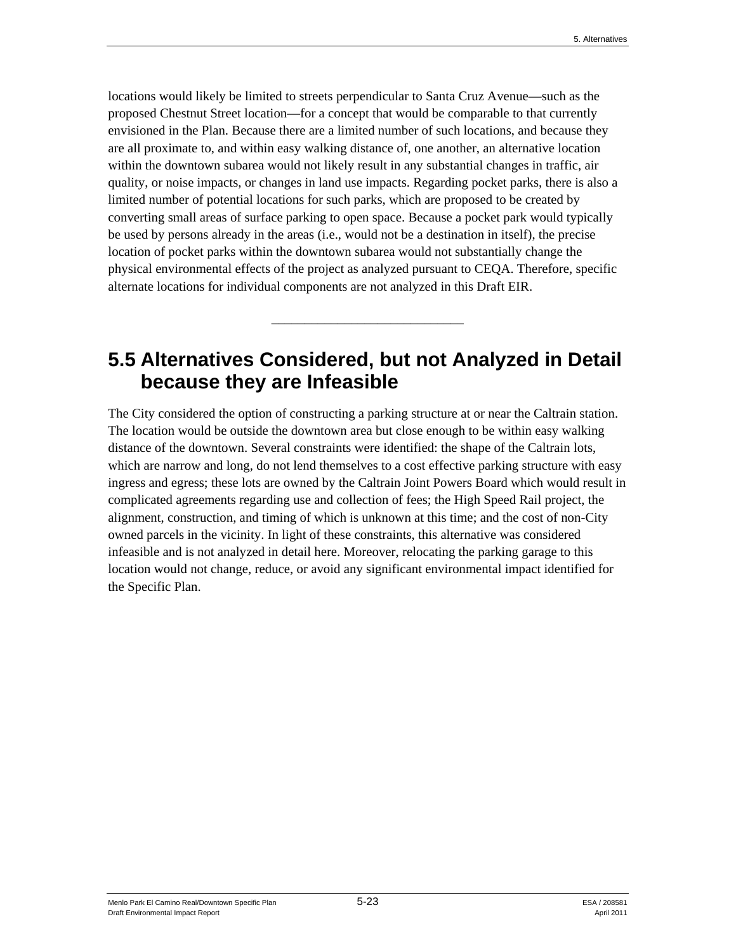locations would likely be limited to streets perpendicular to Santa Cruz Avenue—such as the proposed Chestnut Street location—for a concept that would be comparable to that currently envisioned in the Plan. Because there are a limited number of such locations, and because they are all proximate to, and within easy walking distance of, one another, an alternative location within the downtown subarea would not likely result in any substantial changes in traffic, air quality, or noise impacts, or changes in land use impacts. Regarding pocket parks, there is also a limited number of potential locations for such parks, which are proposed to be created by converting small areas of surface parking to open space. Because a pocket park would typically be used by persons already in the areas (i.e., would not be a destination in itself), the precise location of pocket parks within the downtown subarea would not substantially change the physical environmental effects of the project as analyzed pursuant to CEQA. Therefore, specific alternate locations for individual components are not analyzed in this Draft EIR.

# **5.5 Alternatives Considered, but not Analyzed in Detail because they are Infeasible**

\_\_\_\_\_\_\_\_\_\_\_\_\_\_\_\_\_\_\_\_\_\_\_\_\_\_\_\_\_

The City considered the option of constructing a parking structure at or near the Caltrain station. The location would be outside the downtown area but close enough to be within easy walking distance of the downtown. Several constraints were identified: the shape of the Caltrain lots, which are narrow and long, do not lend themselves to a cost effective parking structure with easy ingress and egress; these lots are owned by the Caltrain Joint Powers Board which would result in complicated agreements regarding use and collection of fees; the High Speed Rail project, the alignment, construction, and timing of which is unknown at this time; and the cost of non-City owned parcels in the vicinity. In light of these constraints, this alternative was considered infeasible and is not analyzed in detail here. Moreover, relocating the parking garage to this location would not change, reduce, or avoid any significant environmental impact identified for the Specific Plan.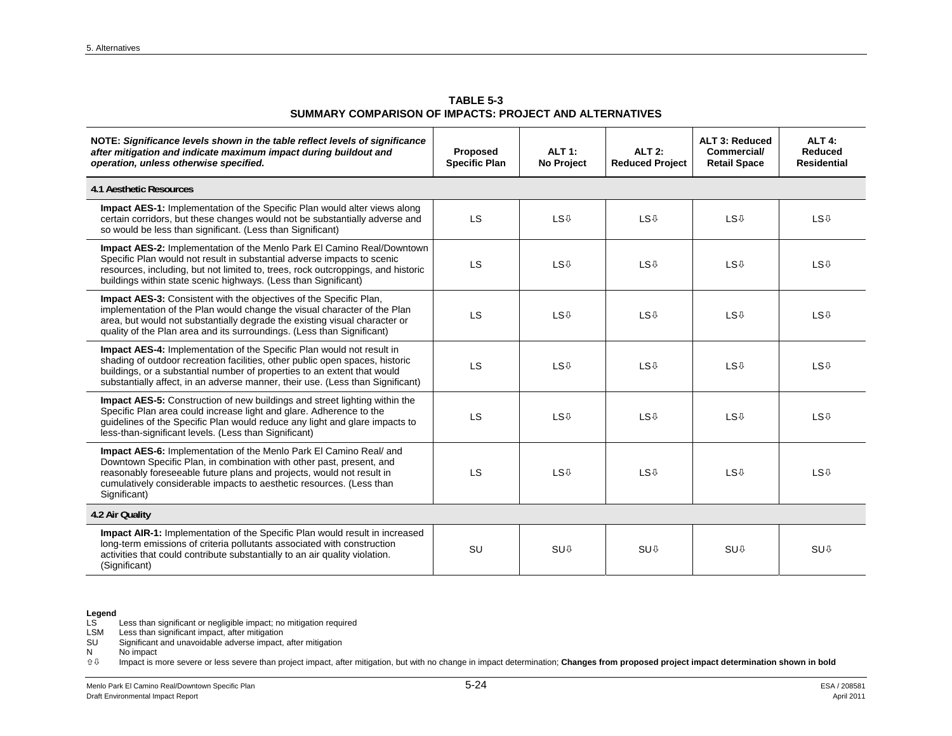**TABLE 5-3 SUMMARY COMPARISON OF IMPACTS: PROJECT AND ALTERNATIVES** 

| NOTE: Significance levels shown in the table reflect levels of significance<br>after mitigation and indicate maximum impact during buildout and<br>operation, unless otherwise specified.                                                                                                                                  | Proposed<br><b>Specific Plan</b> | <b>ALT 1:</b><br><b>No Project</b> | <b>ALT 2:</b><br><b>Reduced Project</b> | ALT 3: Reduced<br><b>Commercial/</b><br><b>Retail Space</b> | ALT 4:<br>Reduced<br><b>Residential</b> |
|----------------------------------------------------------------------------------------------------------------------------------------------------------------------------------------------------------------------------------------------------------------------------------------------------------------------------|----------------------------------|------------------------------------|-----------------------------------------|-------------------------------------------------------------|-----------------------------------------|
| 4.1 Aesthetic Resources                                                                                                                                                                                                                                                                                                    |                                  |                                    |                                         |                                                             |                                         |
| Impact AES-1: Implementation of the Specific Plan would alter views along<br>certain corridors, but these changes would not be substantially adverse and<br>so would be less than significant. (Less than Significant)                                                                                                     | LS                               | <b>LS</b> <sup>0</sup>             | <b>LS</b> <sup>0</sup>                  | <b>LS</b> <sup>U</sup>                                      | <b>LS</b> <sup>0</sup>                  |
| <b>Impact AES-2: Implementation of the Menlo Park El Camino Real/Downtown</b><br>Specific Plan would not result in substantial adverse impacts to scenic<br>resources, including, but not limited to, trees, rock outcroppings, and historic<br>buildings within state scenic highways. (Less than Significant)            | <b>LS</b>                        | <b>LS</b> <sup>0</sup>             | <b>LS</b> <sup>0</sup>                  | <b>LS</b> <sup>0</sup>                                      | <b>LS</b> <sup>0</sup>                  |
| <b>Impact AES-3:</b> Consistent with the objectives of the Specific Plan,<br>implementation of the Plan would change the visual character of the Plan<br>area, but would not substantially degrade the existing visual character or<br>quality of the Plan area and its surroundings. (Less than Significant)              | LS                               | <b>LS</b> <sup>0</sup>             | <b>LS</b> <sup>U</sup>                  | <b>LS</b> <sup>0</sup>                                      | <b>LS</b> <sup>U</sup>                  |
| <b>Impact AES-4:</b> Implementation of the Specific Plan would not result in<br>shading of outdoor recreation facilities, other public open spaces, historic<br>buildings, or a substantial number of properties to an extent that would<br>substantially affect, in an adverse manner, their use. (Less than Significant) | LS                               | <b>LS</b> <sup>0</sup>             | <b>LS</b> <sup>0</sup>                  | <b>LS</b> <sup>0</sup>                                      | <b>LS</b> <sup>0</sup>                  |
| Impact AES-5: Construction of new buildings and street lighting within the<br>Specific Plan area could increase light and glare. Adherence to the<br>guidelines of the Specific Plan would reduce any light and glare impacts to<br>less-than-significant levels. (Less than Significant)                                  | LS                               | <b>LS</b> <sup>0</sup>             | <b>LS</b> <sup>0</sup>                  | <b>LS</b> <sup>0</sup>                                      | <b>LS</b> <sup>0</sup>                  |
| <b>Impact AES-6:</b> Implementation of the Menlo Park El Camino Real/ and<br>Downtown Specific Plan, in combination with other past, present, and<br>reasonably foreseeable future plans and projects, would not result in<br>cumulatively considerable impacts to aesthetic resources. (Less than<br>Significant)         | LS                               | <b>LS</b> <sup>0</sup>             | <b>LS</b> <sup>0</sup>                  | <b>LS</b> <sup>0</sup>                                      | <b>LS</b> <sup>0</sup>                  |
| 4.2 Air Quality                                                                                                                                                                                                                                                                                                            |                                  |                                    |                                         |                                                             |                                         |
| <b>Impact AIR-1:</b> Implementation of the Specific Plan would result in increased<br>long-term emissions of criteria pollutants associated with construction<br>activities that could contribute substantially to an air quality violation.<br>(Significant)                                                              | <b>SU</b>                        | SU <sub>0</sub>                    | SU <sub>0</sub>                         | SU <sub>0</sub>                                             | SU <sub>0</sub>                         |

LSM Less than significant impact, after mitigation

SU Significant and unavoidable adverse impact, after mitigation

 $N$  No impact<br> $\hat{U} \oplus$  Impact is n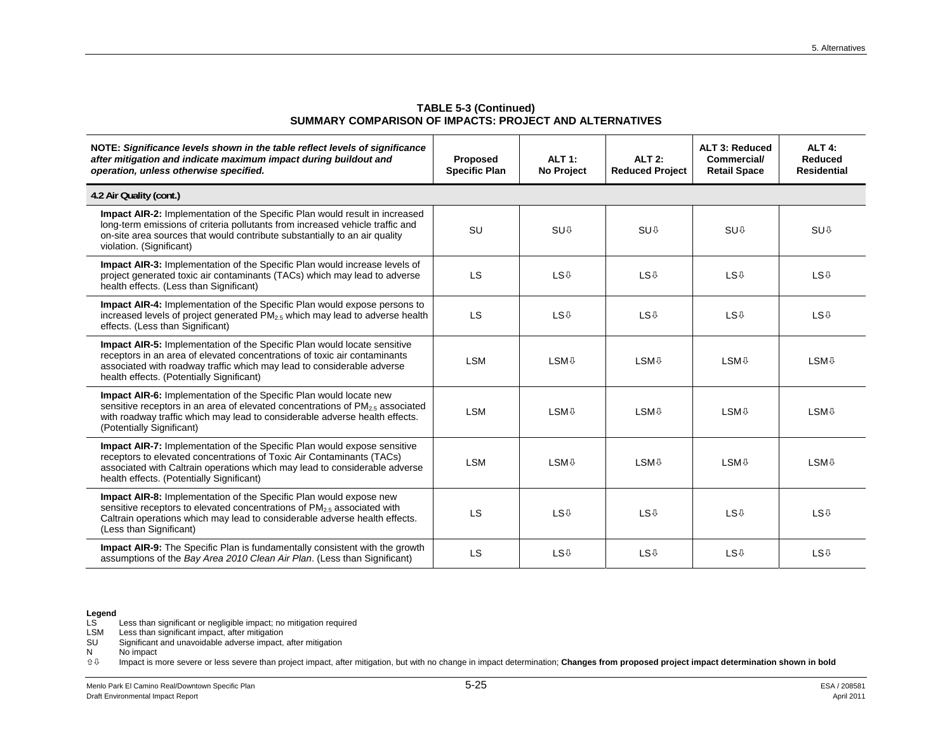| NOTE: Significance levels shown in the table reflect levels of significance<br>after mitigation and indicate maximum impact during buildout and<br>operation, unless otherwise specified.                                                                                           | Proposed<br><b>Specific Plan</b> | <b>ALT 1:</b><br><b>No Project</b> | <b>ALT 2:</b><br><b>Reduced Project</b> | ALT 3: Reduced<br><b>Commercial/</b><br><b>Retail Space</b> | ALT <sub>4:</sub><br><b>Reduced</b><br><b>Residential</b> |
|-------------------------------------------------------------------------------------------------------------------------------------------------------------------------------------------------------------------------------------------------------------------------------------|----------------------------------|------------------------------------|-----------------------------------------|-------------------------------------------------------------|-----------------------------------------------------------|
| 4.2 Air Quality (cont.)                                                                                                                                                                                                                                                             |                                  |                                    |                                         |                                                             |                                                           |
| <b>Impact AIR-2:</b> Implementation of the Specific Plan would result in increased<br>long-term emissions of criteria pollutants from increased vehicle traffic and<br>on-site area sources that would contribute substantially to an air quality<br>violation. (Significant)       | <b>SU</b>                        | SU <sub>0</sub>                    | SU <sub>0</sub>                         | SU <sub>0</sub>                                             | SU <sub>0</sub>                                           |
| <b>Impact AIR-3:</b> Implementation of the Specific Plan would increase levels of<br>project generated toxic air contaminants (TACs) which may lead to adverse<br>health effects. (Less than Significant)                                                                           | <b>LS</b>                        | <b>LS</b> <sup>0</sup>             | <b>LS</b> <sup>0</sup>                  | <b>LS</b> <sup>0</sup>                                      | <b>LS</b> <sup>0</sup>                                    |
| <b>Impact AIR-4:</b> Implementation of the Specific Plan would expose persons to<br>increased levels of project generated $PM2.5$ which may lead to adverse health<br>effects. (Less than Significant)                                                                              | <b>LS</b>                        | <b>LS</b> <sup>0</sup>             | <b>LS</b> <sup>0</sup>                  | <b>LS</b> <sup>0</sup>                                      | <b>LS</b> <sup>0</sup>                                    |
| <b>Impact AIR-5:</b> Implementation of the Specific Plan would locate sensitive<br>receptors in an area of elevated concentrations of toxic air contaminants<br>associated with roadway traffic which may lead to considerable adverse<br>health effects. (Potentially Significant) | <b>LSM</b>                       | <b>LSM</b> <sup>0</sup>            | <b>LSM</b> <sup>0</sup>                 | <b>LSM</b> <sup>⊕</sup>                                     | <b>LSM</b> <sup>0</sup>                                   |
| Impact AIR-6: Implementation of the Specific Plan would locate new<br>sensitive receptors in an area of elevated concentrations of $PM_{2.5}$ associated<br>with roadway traffic which may lead to considerable adverse health effects.<br>(Potentially Significant)                | <b>LSM</b>                       | <b>LSM</b> <sup>0</sup>            | <b>LSM</b> <sup>0</sup>                 | <b>LSM</b> <sup>0</sup>                                     | <b>LSM</b> <sup>0</sup>                                   |
| Impact AIR-7: Implementation of the Specific Plan would expose sensitive<br>receptors to elevated concentrations of Toxic Air Contaminants (TACs)<br>associated with Caltrain operations which may lead to considerable adverse<br>health effects. (Potentially Significant)        | <b>LSM</b>                       | <b>LSM</b> <sup>0</sup>            | <b>LSM</b> <sup>0</sup>                 | <b>LSM</b> <sup>0</sup>                                     | <b>LSM</b> <sup>0</sup>                                   |
| Impact AIR-8: Implementation of the Specific Plan would expose new<br>sensitive receptors to elevated concentrations of $PM2.5$ associated with<br>Caltrain operations which may lead to considerable adverse health effects.<br>(Less than Significant)                            | LS                               | <b>LS</b> <sup>0</sup>             | <b>LS</b> <sup>0</sup>                  | <b>LS</b> <sup>0</sup>                                      | <b>LS</b> <sup>0</sup>                                    |
| <b>Impact AIR-9:</b> The Specific Plan is fundamentally consistent with the growth<br>assumptions of the Bay Area 2010 Clean Air Plan. (Less than Significant)                                                                                                                      | <b>LS</b>                        | <b>LS</b> <sup>0</sup>             | <b>LS</b> <sup>0</sup>                  | <b>LS</b> <sup>U</sup>                                      | <b>LS</b> <sup>0</sup>                                    |

**TABLE 5-3 (Continued) SUMMARY COMPARISON OF IMPACTS: PROJECT AND ALTERNATIVES** 

## **Legend**

LS Less than significant or negligible impact; no mitigation required

LSM Less than significant impact, after mitigation

SU Significant and unavoidable adverse impact, after mitigation

N No impact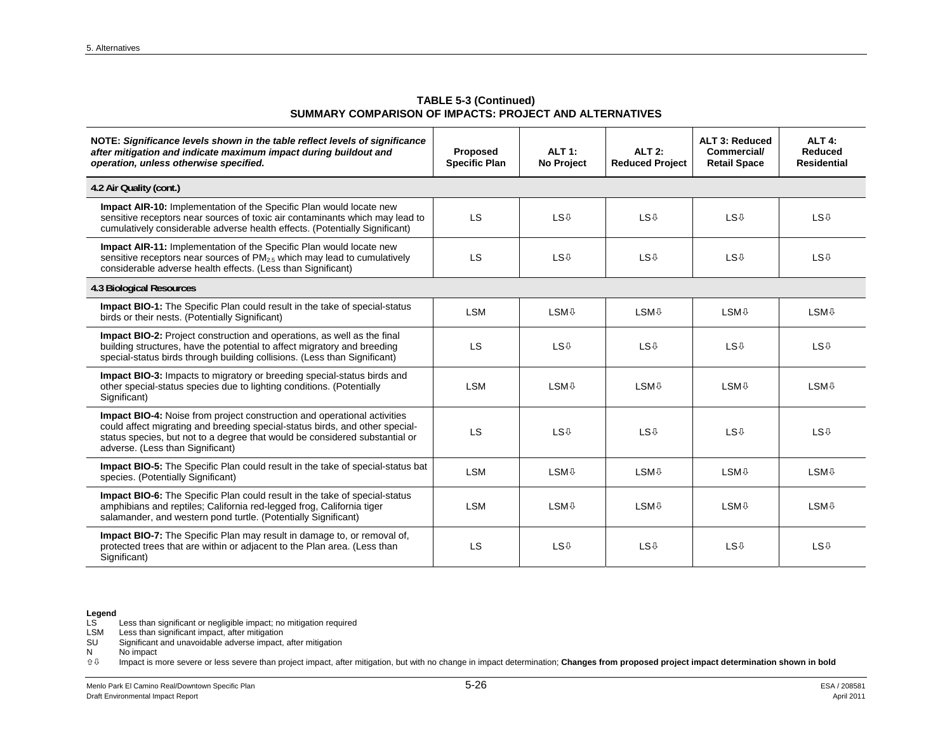**TABLE 5-3 (Continued) SUMMARY COMPARISON OF IMPACTS: PROJECT AND ALTERNATIVES** 

| NOTE: Significance levels shown in the table reflect levels of significance<br>after mitigation and indicate maximum impact during buildout and<br>operation, unless otherwise specified.                                                                                          | Proposed<br><b>Specific Plan</b> | <b>ALT 1:</b><br>No Project | <b>ALT 2:</b><br><b>Reduced Project</b> | ALT 3: Reduced<br><b>Commercial/</b><br><b>Retail Space</b> | ALT <sub>4:</sub><br>Reduced<br><b>Residential</b> |
|------------------------------------------------------------------------------------------------------------------------------------------------------------------------------------------------------------------------------------------------------------------------------------|----------------------------------|-----------------------------|-----------------------------------------|-------------------------------------------------------------|----------------------------------------------------|
| 4.2 Air Quality (cont.)                                                                                                                                                                                                                                                            |                                  |                             |                                         |                                                             |                                                    |
| <b>Impact AIR-10:</b> Implementation of the Specific Plan would locate new<br>sensitive receptors near sources of toxic air contaminants which may lead to<br>cumulatively considerable adverse health effects. (Potentially Significant)                                          | <b>LS</b>                        | <b>LS</b> <sup>0</sup>      | <b>LS</b> <sup>0</sup>                  | <b>LS</b> <sup>0</sup>                                      | <b>LS</b> <sup>0</sup>                             |
| <b>Impact AIR-11:</b> Implementation of the Specific Plan would locate new<br>sensitive receptors near sources of $PM_{2.5}$ which may lead to cumulatively<br>considerable adverse health effects. (Less than Significant)                                                        | LS                               | <b>LS</b> <sup>0</sup>      | <b>LS</b> <sup>0</sup>                  | <b>LS</b> <sup>0</sup>                                      | <b>LS</b> <sup>0</sup>                             |
| 4.3 Biological Resources                                                                                                                                                                                                                                                           |                                  |                             |                                         |                                                             |                                                    |
| <b>Impact BIO-1:</b> The Specific Plan could result in the take of special-status<br>birds or their nests. (Potentially Significant)                                                                                                                                               | <b>LSM</b>                       | <b>LSM</b> <sup>0</sup>     | <b>LSM</b> <sup>0</sup>                 | <b>LSM</b> <sup>0</sup>                                     | <b>LSM</b> <sup>0</sup>                            |
| Impact BIO-2: Project construction and operations, as well as the final<br>building structures, have the potential to affect migratory and breeding<br>special-status birds through building collisions. (Less than Significant)                                                   | <b>LS</b>                        | <b>LS</b> <sup>0</sup>      | <b>LS</b> <sup>0</sup>                  | <b>LS</b> <sup>0</sup>                                      | <b>LS</b> <sup>U</sup>                             |
| Impact BIO-3: Impacts to migratory or breeding special-status birds and<br>other special-status species due to lighting conditions. (Potentially<br>Significant)                                                                                                                   | <b>LSM</b>                       | <b>LSM</b> <sup>⊕</sup>     | <b>LSM</b> <sup>0</sup>                 | <b>LSM</b> <sup>0</sup>                                     | <b>LSM</b> <sup>0</sup>                            |
| <b>Impact BIO-4:</b> Noise from project construction and operational activities<br>could affect migrating and breeding special-status birds, and other special-<br>status species, but not to a degree that would be considered substantial or<br>adverse. (Less than Significant) | <b>LS</b>                        | <b>LS</b> <sup>0</sup>      | <b>LS</b> <sup>0</sup>                  | <b>LS</b> <sup>0</sup>                                      | <b>LS</b> <sup>U</sup>                             |
| Impact BIO-5: The Specific Plan could result in the take of special-status bat<br>species. (Potentially Significant)                                                                                                                                                               | <b>LSM</b>                       | <b>LSM</b> <sup>⊕</sup>     | <b>LSM</b> <sup>0</sup>                 | <b>LSM</b> <sup>0</sup>                                     | <b>LSM</b> <sup>0</sup>                            |
| <b>Impact BIO-6:</b> The Specific Plan could result in the take of special-status<br>amphibians and reptiles; California red-legged frog, California tiger<br>salamander, and western pond turtle. (Potentially Significant)                                                       | <b>LSM</b>                       | <b>LSM</b> <sup>0</sup>     | <b>LSM</b> <sup>0</sup>                 | <b>LSM</b> <sup>0</sup>                                     | <b>LSM</b> <sup>0</sup>                            |
| <b>Impact BIO-7:</b> The Specific Plan may result in damage to, or removal of,<br>protected trees that are within or adjacent to the Plan area. (Less than<br>Significant)                                                                                                         | <b>LS</b>                        | <b>LS</b> <sup>0</sup>      | <b>LS</b> <sup>0</sup>                  | <b>LS</b> <sup>0</sup>                                      | <b>LS</b> <sup>U</sup>                             |

LSM Less than significant impact, after mitigation

SU Significant and unavoidable adverse impact, after mitigation

 $N$  No impact<br> $\hat{U} \oplus$  Impact is n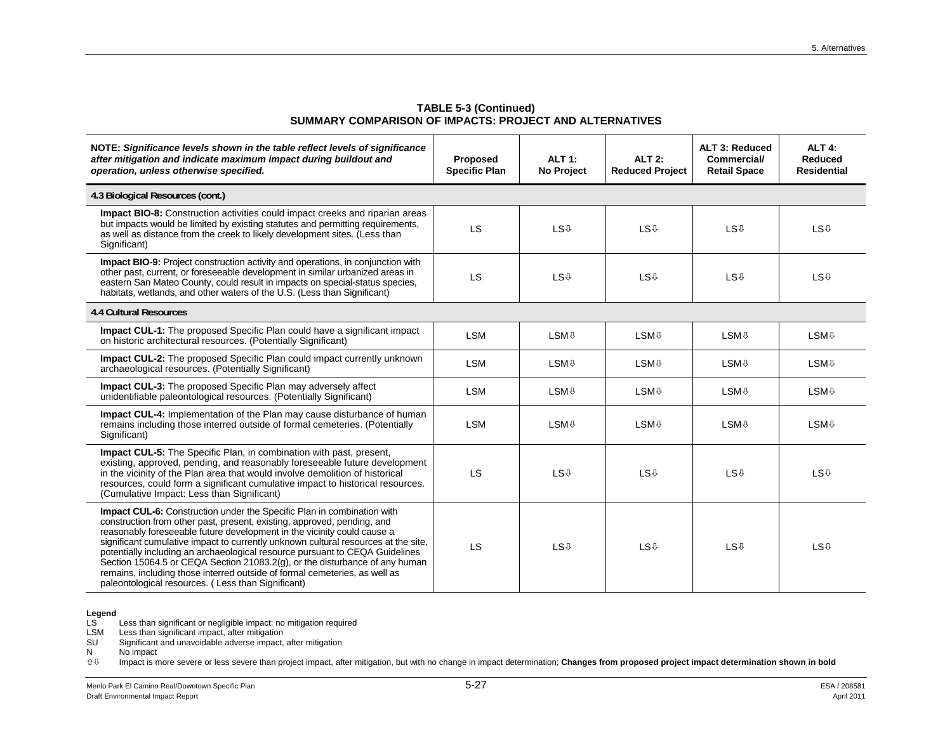| NOTE: Significance levels shown in the table reflect levels of significance<br>after mitigation and indicate maximum impact during buildout and<br>operation, unless otherwise specified.                                                                                                                                                                                                                                                                                                                                                                                                                                    | Proposed<br><b>Specific Plan</b> | <b>ALT 1:</b><br>No Project | <b>ALT 2:</b><br><b>Reduced Project</b> | <b>ALT 3: Reduced</b><br><b>Commercial/</b><br><b>Retail Space</b> | <b>ALT 4:</b><br>Reduced<br><b>Residential</b> |
|------------------------------------------------------------------------------------------------------------------------------------------------------------------------------------------------------------------------------------------------------------------------------------------------------------------------------------------------------------------------------------------------------------------------------------------------------------------------------------------------------------------------------------------------------------------------------------------------------------------------------|----------------------------------|-----------------------------|-----------------------------------------|--------------------------------------------------------------------|------------------------------------------------|
| 4.3 Biological Resources (cont.)                                                                                                                                                                                                                                                                                                                                                                                                                                                                                                                                                                                             |                                  |                             |                                         |                                                                    |                                                |
| <b>Impact BIO-8:</b> Construction activities could impact creeks and riparian areas<br>but impacts would be limited by existing statutes and permitting requirements,<br>as well as distance from the creek to likely development sites. (Less than<br>Significant)                                                                                                                                                                                                                                                                                                                                                          | LS                               | <b>LS</b> <sup>0</sup>      | <b>LS</b> <sup>0</sup>                  | <b>LS</b> <sup>0</sup>                                             | <b>LS</b> <sup>0</sup>                         |
| <b>Impact BIO-9:</b> Project construction activity and operations, in conjunction with<br>other past, current, or foreseeable development in similar urbanized areas in<br>eastern San Mateo County, could result in impacts on special-status species,<br>habitats, wetlands, and other waters of the U.S. (Less than Significant)                                                                                                                                                                                                                                                                                          | <b>LS</b>                        | <b>LS</b> <sup>0</sup>      | <b>LS</b> <sup>0</sup>                  | <b>LS</b> <sup>0</sup>                                             | <b>LS</b> <sup>0</sup>                         |
| <b>4.4 Cultural Resources</b>                                                                                                                                                                                                                                                                                                                                                                                                                                                                                                                                                                                                |                                  |                             |                                         |                                                                    |                                                |
| Impact CUL-1: The proposed Specific Plan could have a significant impact<br>on historic architectural resources. (Potentially Significant)                                                                                                                                                                                                                                                                                                                                                                                                                                                                                   | <b>LSM</b>                       | <b>LSM</b> <sup>0</sup>     | <b>LSM</b> <sup>0</sup>                 | <b>LSM</b> <sup>0</sup>                                            | <b>LSM</b> <sup>0</sup>                        |
| <b>Impact CUL-2:</b> The proposed Specific Plan could impact currently unknown<br>archaeological resources. (Potentially Significant)                                                                                                                                                                                                                                                                                                                                                                                                                                                                                        | <b>LSM</b>                       | <b>LSM</b> <sup>0</sup>     | <b>LSM</b> <sup>0</sup>                 | <b>LSM</b> <sup>0</sup>                                            | <b>LSM</b> <sup>0</sup>                        |
| <b>Impact CUL-3:</b> The proposed Specific Plan may adversely affect<br>unidentifiable paleontological resources. (Potentially Significant)                                                                                                                                                                                                                                                                                                                                                                                                                                                                                  | <b>LSM</b>                       | <b>LSM</b> <sup>0</sup>     | <b>LSM</b> <sup>0</sup>                 | <b>LSM</b> <sup>0</sup>                                            | <b>LSM</b> <sup>0</sup>                        |
| Impact CUL-4: Implementation of the Plan may cause disturbance of human<br>remains including those interred outside of formal cemeteries. (Potentially<br>Significant)                                                                                                                                                                                                                                                                                                                                                                                                                                                       | <b>LSM</b>                       | <b>LSM</b> <sup>0</sup>     | <b>LSM</b> <sup>0</sup>                 | <b>LSM</b> <sup>0</sup>                                            | <b>LSM</b> <sup>0</sup>                        |
| <b>Impact CUL-5:</b> The Specific Plan, in combination with past, present,<br>existing, approved, pending, and reasonably foreseeable future development<br>in the vicinity of the Plan area that would involve demolition of historical<br>resources, could form a significant cumulative impact to historical resources.<br>(Cumulative Impact: Less than Significant)                                                                                                                                                                                                                                                     | <b>LS</b>                        | <b>LS</b> <sup>0</sup>      | <b>LS</b> <sup>0</sup>                  | <b>LS</b> <sup>U</sup>                                             | <b>LS</b> <sup>0</sup>                         |
| <b>Impact CUL-6:</b> Construction under the Specific Plan in combination with<br>construction from other past, present, existing, approved, pending, and<br>reasonably foreseeable future development in the vicinity could cause a<br>significant cumulative impact to currently unknown cultural resources at the site,<br>potentially including an archaeological resource pursuant to CEQA Guidelines<br>Section 15064.5 or CEQA Section 21083.2(g), or the disturbance of any human<br>remains, including those interred outside of formal cemeteries, as well as<br>paleontological resources. (Less than Significant) | <b>LS</b>                        | <b>LS</b> <sup>0</sup>      | <b>LS</b> <sup>0</sup>                  | <b>LS</b> <sup>0</sup>                                             | <b>LS</b> <sup>0</sup>                         |

**TABLE 5-3 (Continued) SUMMARY COMPARISON OF IMPACTS: PROJECT AND ALTERNATIVES** 

LSM Less than significant impact, after mitigation

SU Significant and unavoidable adverse impact, after mitigation

 $N$  No impact<br> $\hat{U} \oplus$  Impact is n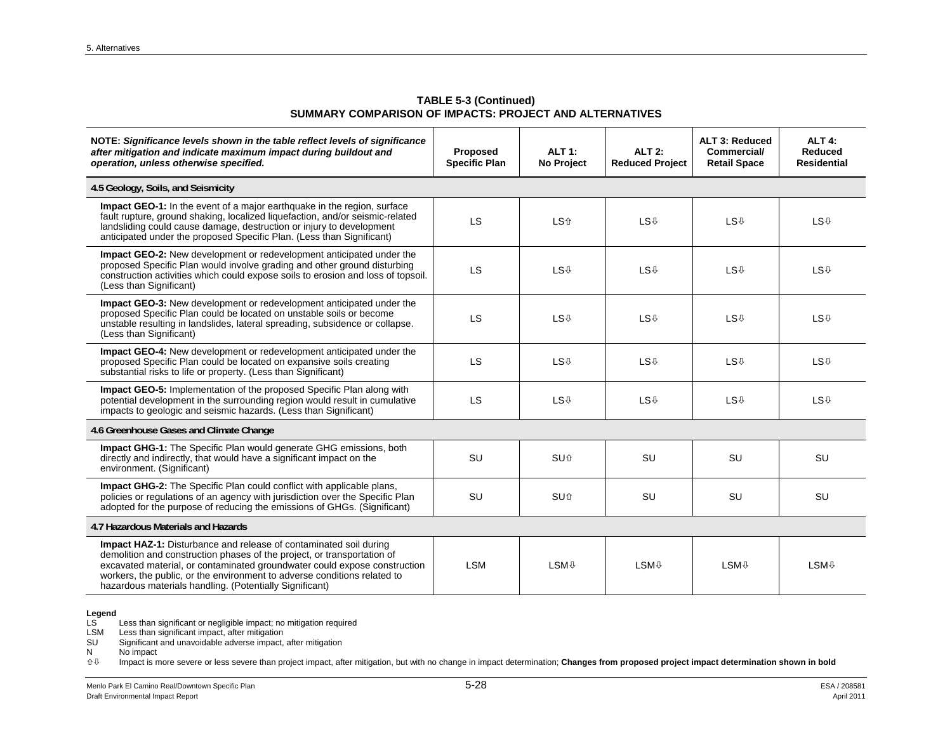**TABLE 5-3 (Continued) SUMMARY COMPARISON OF IMPACTS: PROJECT AND ALTERNATIVES** 

| NOTE: Significance levels shown in the table reflect levels of significance<br>after mitigation and indicate maximum impact during buildout and<br>operation, unless otherwise specified.                                                                                                                                                                               | Proposed<br><b>Specific Plan</b> | <b>ALT 1:</b><br><b>No Project</b> | $ALT$ 2:<br><b>Reduced Project</b> | <b>ALT 3: Reduced</b><br><b>Commercial/</b><br><b>Retail Space</b> | <b>ALT 4:</b><br>Reduced<br><b>Residential</b> |
|-------------------------------------------------------------------------------------------------------------------------------------------------------------------------------------------------------------------------------------------------------------------------------------------------------------------------------------------------------------------------|----------------------------------|------------------------------------|------------------------------------|--------------------------------------------------------------------|------------------------------------------------|
| 4.5 Geology, Soils, and Seismicity                                                                                                                                                                                                                                                                                                                                      |                                  |                                    |                                    |                                                                    |                                                |
| <b>Impact GEO-1:</b> In the event of a major earthquake in the region, surface<br>fault rupture, ground shaking, localized liquefaction, and/or seismic-related<br>landsliding could cause damage, destruction or injury to development<br>anticipated under the proposed Specific Plan. (Less than Significant)                                                        | LS                               | <b>LS</b> 介                        | <b>LS</b> <sup>U</sup>             | <b>LS</b> <sup>0</sup>                                             | <b>LS</b> <sup>0</sup>                         |
| Impact GEO-2: New development or redevelopment anticipated under the<br>proposed Specific Plan would involve grading and other ground disturbing<br>construction activities which could expose soils to erosion and loss of topsoil.<br>(Less than Significant)                                                                                                         | LS                               | <b>LS</b> <sup>0</sup>             | <b>LS</b> <sup>U</sup>             | <b>LS</b> <sup>0</sup>                                             | <b>LS</b> <sup>0</sup>                         |
| Impact GEO-3: New development or redevelopment anticipated under the<br>proposed Specific Plan could be located on unstable soils or become<br>unstable resulting in landslides, lateral spreading, subsidence or collapse.<br>(Less than Significant)                                                                                                                  | LS                               | <b>LS</b> <sup>0</sup>             | <b>LS</b> <sup>0</sup>             | <b>LS</b> <sup>0</sup>                                             | <b>LS</b> <sup>0</sup>                         |
| Impact GEO-4: New development or redevelopment anticipated under the<br>proposed Specific Plan could be located on expansive soils creating<br>substantial risks to life or property. (Less than Significant)                                                                                                                                                           | LS                               | <b>LS</b> <sup>0</sup>             | <b>LS</b> <sup>U</sup>             | <b>LS</b> <sup>0</sup>                                             | <b>LS</b> <sup>0</sup>                         |
| <b>Impact GEO-5:</b> Implementation of the proposed Specific Plan along with<br>potential development in the surrounding region would result in cumulative<br>impacts to geologic and seismic hazards. (Less than Significant)                                                                                                                                          | LS                               | <b>LS</b> <sup>0</sup>             | <b>LS</b> <sup>0</sup>             | <b>LS</b> <sup>0</sup>                                             | <b>LS</b> <sup>0</sup>                         |
| 4.6 Greenhouse Gases and Climate Change                                                                                                                                                                                                                                                                                                                                 |                                  |                                    |                                    |                                                                    |                                                |
| Impact GHG-1: The Specific Plan would generate GHG emissions, both<br>directly and indirectly, that would have a significant impact on the<br>environment. (Significant)                                                                                                                                                                                                | <b>SU</b>                        | SU <sub>û</sub>                    | <b>SU</b>                          | <b>SU</b>                                                          | <b>SU</b>                                      |
| <b>Impact GHG-2:</b> The Specific Plan could conflict with applicable plans,<br>policies or regulations of an agency with jurisdiction over the Specific Plan<br>adopted for the purpose of reducing the emissions of GHGs. (Significant)                                                                                                                               | SU                               | <b>SU</b> 介                        | <b>SU</b>                          | <b>SU</b>                                                          | SU                                             |
| 4.7 Hazardous Materials and Hazards                                                                                                                                                                                                                                                                                                                                     |                                  |                                    |                                    |                                                                    |                                                |
| <b>Impact HAZ-1:</b> Disturbance and release of contaminated soil during<br>demolition and construction phases of the project, or transportation of<br>excavated material, or contaminated groundwater could expose construction<br>workers, the public, or the environment to adverse conditions related to<br>hazardous materials handling. (Potentially Significant) | <b>LSM</b>                       | <b>LSM</b> <sup>⊕</sup>            | <b>LSM</b> <sup>0</sup>            | <b>LSM</b> <sup>0</sup>                                            | <b>LSM</b> <sup>0</sup>                        |

LSM Less than significant impact, after mitigation

SU Significant and unavoidable adverse impact, after mitigation

 $N$  No impact<br> $\hat{U} \oplus$  Impact is n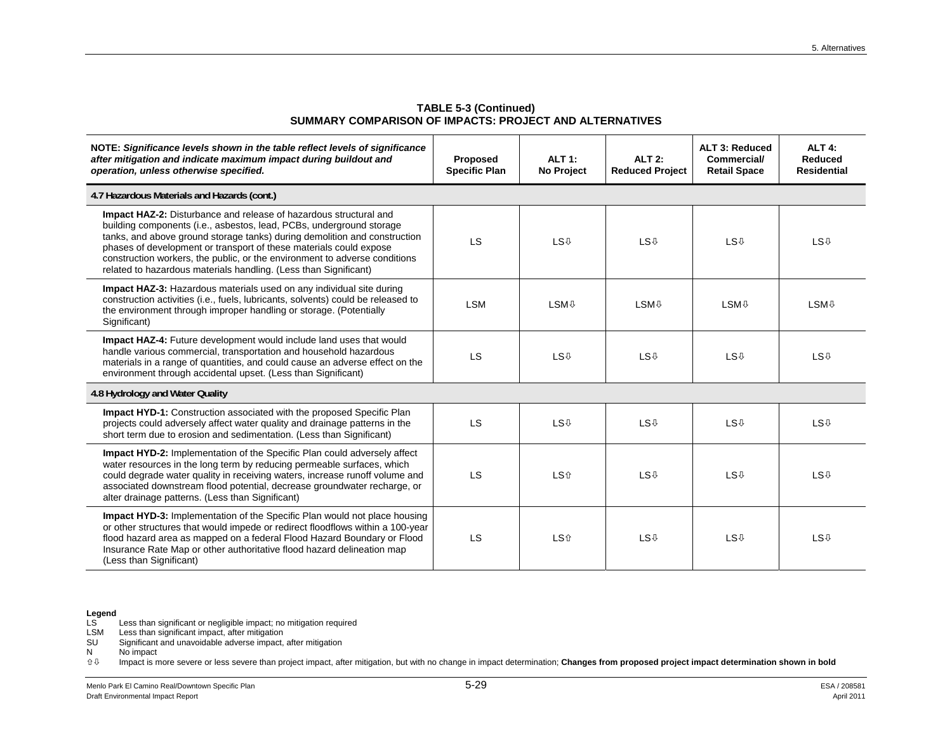| NOTE: Significance levels shown in the table reflect levels of significance<br>after mitigation and indicate maximum impact during buildout and<br>operation, unless otherwise specified.                                                                                                                                                                                                                                                             | Proposed<br><b>Specific Plan</b> | <b>ALT 1:</b><br>No Project | <b>ALT 2:</b><br><b>Reduced Project</b> | <b>ALT 3: Reduced</b><br><b>Commercial/</b><br><b>Retail Space</b> | <b>ALT 4:</b><br>Reduced<br><b>Residential</b> |
|-------------------------------------------------------------------------------------------------------------------------------------------------------------------------------------------------------------------------------------------------------------------------------------------------------------------------------------------------------------------------------------------------------------------------------------------------------|----------------------------------|-----------------------------|-----------------------------------------|--------------------------------------------------------------------|------------------------------------------------|
| 4.7 Hazardous Materials and Hazards (cont.)                                                                                                                                                                                                                                                                                                                                                                                                           |                                  |                             |                                         |                                                                    |                                                |
| <b>Impact HAZ-2:</b> Disturbance and release of hazardous structural and<br>building components (i.e., asbestos, lead, PCBs, underground storage<br>tanks, and above ground storage tanks) during demolition and construction<br>phases of development or transport of these materials could expose<br>construction workers, the public, or the environment to adverse conditions<br>related to hazardous materials handling. (Less than Significant) | LS                               | <b>LS</b> <sup>0</sup>      | <b>LS</b> <sup>0</sup>                  | <b>LS</b> <sup>0</sup>                                             | <b>LS</b> <sup>0</sup>                         |
| <b>Impact HAZ-3:</b> Hazardous materials used on any individual site during<br>construction activities (i.e., fuels, lubricants, solvents) could be released to<br>the environment through improper handling or storage. (Potentially<br>Significant)                                                                                                                                                                                                 | <b>LSM</b>                       | <b>LSM</b> <sup>0</sup>     | <b>LSM</b> <sup>0</sup>                 | <b>LSM</b> <sup>0</sup>                                            | <b>LSM</b> <sup>0</sup>                        |
| <b>Impact HAZ-4:</b> Future development would include land uses that would<br>handle various commercial, transportation and household hazardous<br>materials in a range of quantities, and could cause an adverse effect on the<br>environment through accidental upset. (Less than Significant)                                                                                                                                                      | <b>LS</b>                        | <b>LS</b> <sup>0</sup>      | <b>LS</b> <sup>0</sup>                  | <b>LS</b> <sup>0</sup>                                             | <b>LS</b> <sup>0</sup>                         |
| 4.8 Hydrology and Water Quality                                                                                                                                                                                                                                                                                                                                                                                                                       |                                  |                             |                                         |                                                                    |                                                |
| Impact HYD-1: Construction associated with the proposed Specific Plan<br>projects could adversely affect water quality and drainage patterns in the<br>short term due to erosion and sedimentation. (Less than Significant)                                                                                                                                                                                                                           | <b>LS</b>                        | <b>LS</b> <sup>0</sup>      | <b>LS</b> <sup>0</sup>                  | <b>LS</b> <sup>0</sup>                                             | <b>LS</b> <sup>0</sup>                         |
| <b>Impact HYD-2:</b> Implementation of the Specific Plan could adversely affect<br>water resources in the long term by reducing permeable surfaces, which<br>could degrade water quality in receiving waters, increase runoff volume and<br>associated downstream flood potential, decrease groundwater recharge, or<br>alter drainage patterns. (Less than Significant)                                                                              | <b>LS</b>                        | <b>LS</b> 介                 | <b>LS</b> <sup>0</sup>                  | <b>LS</b> <sup>0</sup>                                             | <b>LS</b> <sup>0</sup>                         |
| <b>Impact HYD-3:</b> Implementation of the Specific Plan would not place housing<br>or other structures that would impede or redirect floodflows within a 100-year<br>flood hazard area as mapped on a federal Flood Hazard Boundary or Flood<br>Insurance Rate Map or other authoritative flood hazard delineation map<br>(Less than Significant)                                                                                                    | <b>LS</b>                        | <b>LS</b> <sup>介</sup>      | <b>LS</b> <sup>0</sup>                  | <b>LS</b> <sup>0</sup>                                             | <b>LS</b> <sup>0</sup>                         |

**TABLE 5-3 (Continued) SUMMARY COMPARISON OF IMPACTS: PROJECT AND ALTERNATIVES** 

LSM Less than significant impact, after mitigation

SU Significant and unavoidable adverse impact, after mitigation

 $N$  No impact<br> $\hat{U} \oplus$  Impact is n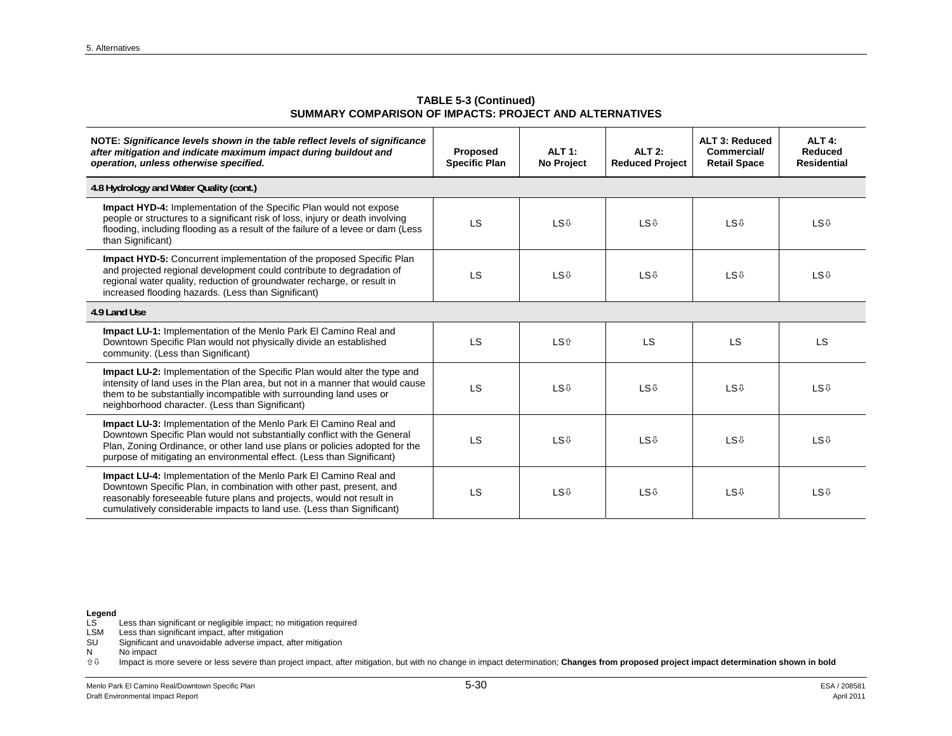**TABLE 5-3 (Continued) SUMMARY COMPARISON OF IMPACTS: PROJECT AND ALTERNATIVES** 

| NOTE: Significance levels shown in the table reflect levels of significance<br>after mitigation and indicate maximum impact during buildout and<br>operation, unless otherwise specified.                                                                                                             | Proposed<br><b>Specific Plan</b> | ALT 1:<br>No Project   | $ALT$ 2:<br><b>Reduced Project</b> | ALT 3: Reduced<br><b>Commercial/</b><br><b>Retail Space</b> | ALT <sub>4:</sub><br>Reduced<br><b>Residential</b> |  |
|-------------------------------------------------------------------------------------------------------------------------------------------------------------------------------------------------------------------------------------------------------------------------------------------------------|----------------------------------|------------------------|------------------------------------|-------------------------------------------------------------|----------------------------------------------------|--|
| 4.8 Hydrology and Water Quality (cont.)                                                                                                                                                                                                                                                               |                                  |                        |                                    |                                                             |                                                    |  |
| <b>Impact HYD-4:</b> Implementation of the Specific Plan would not expose<br>people or structures to a significant risk of loss, injury or death involving<br>flooding, including flooding as a result of the failure of a levee or dam (Less<br>than Significant)                                    | LS                               | <b>LS</b> <sup>0</sup> | <b>LS</b> <sup>U</sup>             | <b>LS</b> <sup>0</sup>                                      | <b>LS</b> <sup>0</sup>                             |  |
| <b>Impact HYD-5:</b> Concurrent implementation of the proposed Specific Plan<br>and projected regional development could contribute to degradation of<br>regional water quality, reduction of groundwater recharge, or result in<br>increased flooding hazards. (Less than Significant)               | LS                               | <b>LS</b> <sup>0</sup> | <b>LS</b> <sup>U</sup>             | <b>LS</b> <sup>0</sup>                                      | <b>LS</b> <sup>0</sup>                             |  |
| 4.9 Land Use                                                                                                                                                                                                                                                                                          |                                  |                        |                                    |                                                             |                                                    |  |
| Impact LU-1: Implementation of the Menlo Park El Camino Real and<br>Downtown Specific Plan would not physically divide an established<br>community. (Less than Significant)                                                                                                                           | LS                               | <b>LS</b> 介            | <b>LS</b>                          | <b>LS</b>                                                   | LS.                                                |  |
| <b>Impact LU-2:</b> Implementation of the Specific Plan would alter the type and<br>intensity of land uses in the Plan area, but not in a manner that would cause<br>them to be substantially incompatible with surrounding land uses or<br>neighborhood character. (Less than Significant)           | LS                               | <b>LS</b> <sup>0</sup> | <b>LS</b> <sup>0</sup>             | <b>LS</b> <sup>0</sup>                                      | <b>LS</b> <sup>0</sup>                             |  |
| Impact LU-3: Implementation of the Menlo Park El Camino Real and<br>Downtown Specific Plan would not substantially conflict with the General<br>Plan, Zoning Ordinance, or other land use plans or policies adopted for the<br>purpose of mitigating an environmental effect. (Less than Significant) | LS                               | <b>LS</b> <sup>0</sup> | <b>LS</b> <sup>0</sup>             | <b>LS</b> <sup>0</sup>                                      | <b>LS</b> <sup>0</sup>                             |  |
| Impact LU-4: Implementation of the Menlo Park El Camino Real and<br>Downtown Specific Plan, in combination with other past, present, and<br>reasonably foreseeable future plans and projects, would not result in<br>cumulatively considerable impacts to land use. (Less than Significant)           | LS                               | <b>LS</b> <sup>0</sup> | <b>LS</b> <sup>U</sup>             | <b>LS</b> <sup>0</sup>                                      | <b>LS</b> <sup>0</sup>                             |  |

LSM Less than significant impact, after mitigation

SU Significant and unavoidable adverse impact, after mitigation

 $N$  No impact<br> $\hat{U} \oplus$  Impact is n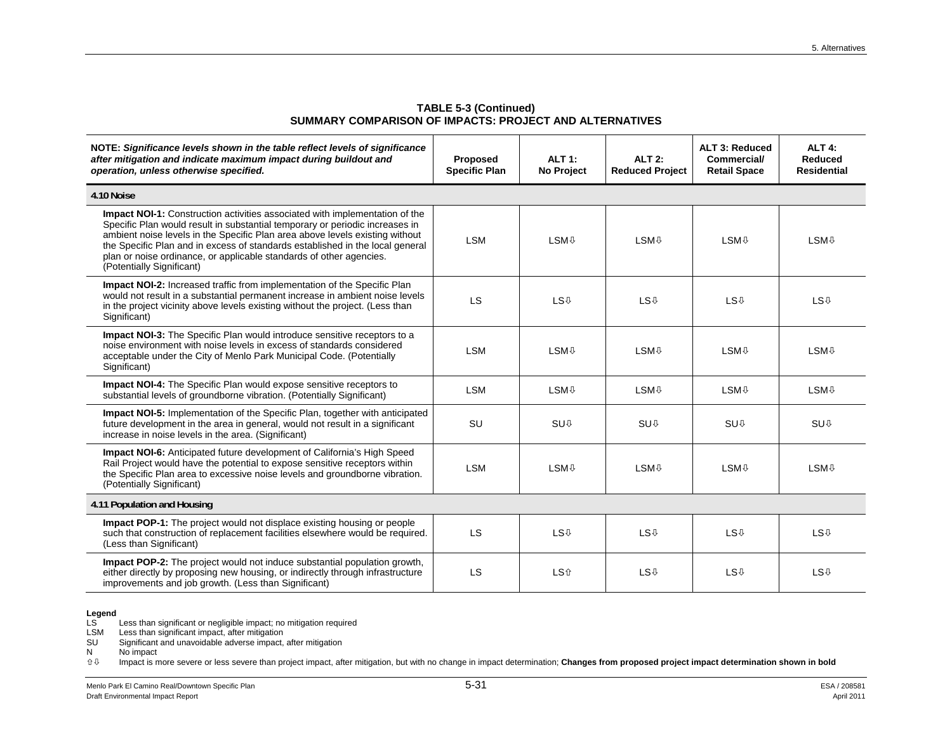| NOTE: Significance levels shown in the table reflect levels of significance<br>after mitigation and indicate maximum impact during buildout and<br>operation, unless otherwise specified.                                                                                                                                                                                                                                               | Proposed<br><b>Specific Plan</b> | <b>ALT 1:</b><br>No Project | <b>ALT 2:</b><br><b>Reduced Project</b> | <b>ALT 3: Reduced</b><br><b>Commercial/</b><br><b>Retail Space</b> | ALT <sub>4:</sub><br>Reduced<br><b>Residential</b> |
|-----------------------------------------------------------------------------------------------------------------------------------------------------------------------------------------------------------------------------------------------------------------------------------------------------------------------------------------------------------------------------------------------------------------------------------------|----------------------------------|-----------------------------|-----------------------------------------|--------------------------------------------------------------------|----------------------------------------------------|
| 4.10 Noise                                                                                                                                                                                                                                                                                                                                                                                                                              |                                  |                             |                                         |                                                                    |                                                    |
| <b>Impact NOI-1:</b> Construction activities associated with implementation of the<br>Specific Plan would result in substantial temporary or periodic increases in<br>ambient noise levels in the Specific Plan area above levels existing without<br>the Specific Plan and in excess of standards established in the local general<br>plan or noise ordinance, or applicable standards of other agencies.<br>(Potentially Significant) | <b>LSM</b>                       | <b>LSM</b> <sup>⊕</sup>     | <b>LSM</b> <sup>0</sup>                 | <b>LSM</b> <sup>⊕</sup>                                            | <b>LSM</b> <sup>⊕</sup>                            |
| Impact NOI-2: Increased traffic from implementation of the Specific Plan<br>would not result in a substantial permanent increase in ambient noise levels<br>in the project vicinity above levels existing without the project. (Less than<br>Significant)                                                                                                                                                                               | <b>LS</b>                        | <b>LS</b> <sup>0</sup>      | <b>LS</b> <sup>0</sup>                  | <b>LS</b> <sup>0</sup>                                             | <b>LS</b> <sup>0</sup>                             |
| <b>Impact NOI-3:</b> The Specific Plan would introduce sensitive receptors to a<br>noise environment with noise levels in excess of standards considered<br>acceptable under the City of Menlo Park Municipal Code. (Potentially<br>Significant)                                                                                                                                                                                        | <b>LSM</b>                       | <b>LSM</b> <sup>⊕</sup>     | <b>LSM</b> <sup>0</sup>                 | <b>LSM</b> <sup>0</sup>                                            | <b>LSM</b> <sup>0</sup>                            |
| <b>Impact NOI-4:</b> The Specific Plan would expose sensitive receptors to<br>substantial levels of groundborne vibration. (Potentially Significant)                                                                                                                                                                                                                                                                                    | <b>LSM</b>                       | <b>LSM</b> <sup>0</sup>     | <b>LSM</b> <sup>0</sup>                 | <b>LSM</b> <sup>0</sup>                                            | <b>LSM</b> <sup>0</sup>                            |
| <b>Impact NOI-5:</b> Implementation of the Specific Plan, together with anticipated<br>future development in the area in general, would not result in a significant<br>increase in noise levels in the area. (Significant)                                                                                                                                                                                                              | SU                               | <b>SU</b> <sup>0</sup>      | <b>SU</b> <sup>0</sup>                  | <b>SU</b> <sup>0</sup>                                             | <b>SU</b> <sup>0</sup>                             |
| <b>Impact NOI-6:</b> Anticipated future development of California's High Speed<br>Rail Project would have the potential to expose sensitive receptors within<br>the Specific Plan area to excessive noise levels and groundborne vibration.<br>(Potentially Significant)                                                                                                                                                                | <b>LSM</b>                       | <b>LSM</b> <sup>0</sup>     | <b>LSM</b> <sup>0</sup>                 | <b>LSM</b> <sup>0</sup>                                            | <b>LSM</b> <sup>0</sup>                            |
| 4.11 Population and Housing                                                                                                                                                                                                                                                                                                                                                                                                             |                                  |                             |                                         |                                                                    |                                                    |
| <b>Impact POP-1:</b> The project would not displace existing housing or people<br>such that construction of replacement facilities elsewhere would be required.<br>(Less than Significant)                                                                                                                                                                                                                                              | <b>LS</b>                        | <b>LS</b> <sup>0</sup>      | <b>LS</b> <sup>0</sup>                  | <b>LS</b> <sup>0</sup>                                             | <b>LS</b> <sup>0</sup>                             |
| <b>Impact POP-2:</b> The project would not induce substantial population growth.<br>either directly by proposing new housing, or indirectly through infrastructure<br>improvements and job growth. (Less than Significant)                                                                                                                                                                                                              | <b>LS</b>                        | <b>LS</b> <sup>介</sup>      | <b>LS</b> <sup>0</sup>                  | <b>LS</b> <sup>0</sup>                                             | <b>LS</b> <sup>0</sup>                             |

#### **TABLE 5-3 (Continued) SUMMARY COMPARISON OF IMPACTS: PROJECT AND ALTERNATIVES**

**Legend**  LS Less than significant or negligible impact; no mitigation required

LSM Less than significant impact, after mitigation

SU Significant and unavoidable adverse impact, after mitigation

 $N$  No impact<br> $\hat{U} \oplus$  Impact is n Impact is more severe or less severe than project impact, after mitigation, but with no change in impact determination; **Changes from proposed project impact determination shown in bold**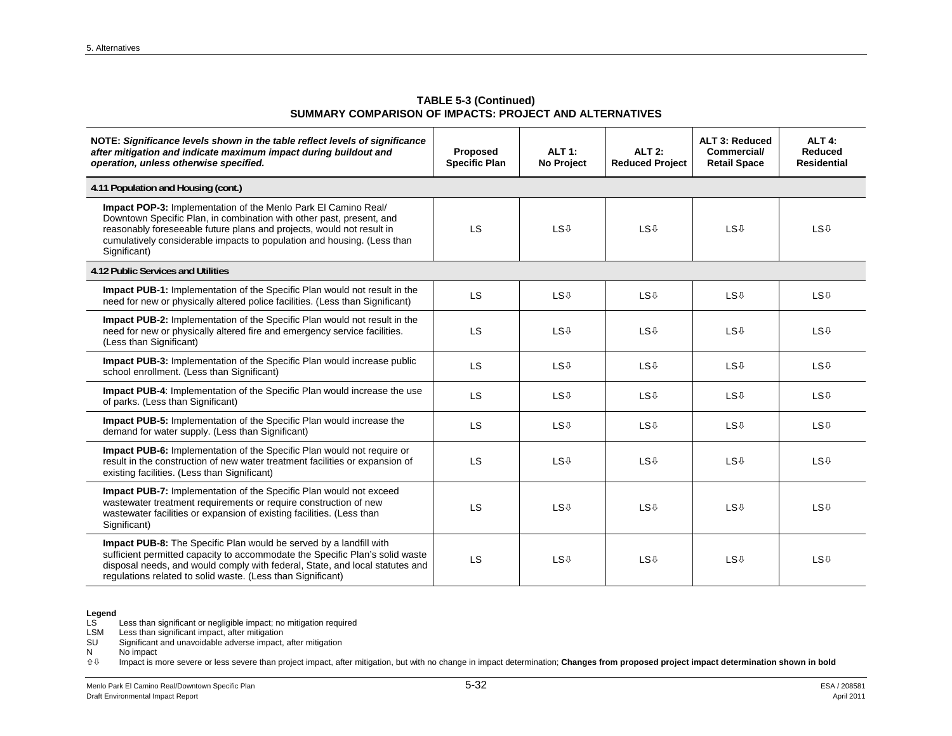**TABLE 5-3 (Continued) SUMMARY COMPARISON OF IMPACTS: PROJECT AND ALTERNATIVES** 

| NOTE: Significance levels shown in the table reflect levels of significance<br>after mitigation and indicate maximum impact during buildout and<br>operation, unless otherwise specified.                                                                                                                         | Proposed<br><b>Specific Plan</b> | <b>ALT 1:</b><br>No Project | <b>ALT 2:</b><br><b>Reduced Project</b> | ALT 3: Reduced<br><b>Commercial/</b><br><b>Retail Space</b> | ALT <sub>4:</sub><br>Reduced<br><b>Residential</b> |
|-------------------------------------------------------------------------------------------------------------------------------------------------------------------------------------------------------------------------------------------------------------------------------------------------------------------|----------------------------------|-----------------------------|-----------------------------------------|-------------------------------------------------------------|----------------------------------------------------|
| 4.11 Population and Housing (cont.)                                                                                                                                                                                                                                                                               |                                  |                             |                                         |                                                             |                                                    |
| <b>Impact POP-3:</b> Implementation of the Menlo Park El Camino Real/<br>Downtown Specific Plan, in combination with other past, present, and<br>reasonably foreseeable future plans and projects, would not result in<br>cumulatively considerable impacts to population and housing. (Less than<br>Significant) | LS                               | <b>LS</b> <sup>0</sup>      | <b>LS</b> <sup>0</sup>                  | <b>LS</b> <sup>U</sup>                                      | <b>LS</b> <sup>0</sup>                             |
| 4.12 Public Services and Utilities                                                                                                                                                                                                                                                                                |                                  |                             |                                         |                                                             |                                                    |
| <b>Impact PUB-1:</b> Implementation of the Specific Plan would not result in the<br>need for new or physically altered police facilities. (Less than Significant)                                                                                                                                                 | <b>LS</b>                        | <b>LS</b> <sup>U</sup>      | <b>LS</b> <sup>0</sup>                  | <b>LS</b> <sup>U</sup>                                      | <b>LS</b> <sup>0</sup>                             |
| Impact PUB-2: Implementation of the Specific Plan would not result in the<br>need for new or physically altered fire and emergency service facilities.<br>(Less than Significant)                                                                                                                                 | LS                               | <b>LS</b> <sup>0</sup>      | <b>LS</b> <sup>0</sup>                  | <b>LS</b> <sup>0</sup>                                      | <b>LS</b> <sup>0</sup>                             |
| <b>Impact PUB-3:</b> Implementation of the Specific Plan would increase public<br>school enrollment. (Less than Significant)                                                                                                                                                                                      | LS                               | <b>LS</b> <sup>0</sup>      | <b>LS</b> <sup>0</sup>                  | <b>LS</b> <sup>0</sup>                                      | <b>LS</b> <sup>0</sup>                             |
| Impact PUB-4: Implementation of the Specific Plan would increase the use<br>of parks. (Less than Significant)                                                                                                                                                                                                     | LS                               | <b>LS</b> <sup>0</sup>      | <b>LS</b> <sup>0</sup>                  | <b>LS</b> <sup>0</sup>                                      | <b>LS</b> <sup>0</sup>                             |
| Impact PUB-5: Implementation of the Specific Plan would increase the<br>demand for water supply. (Less than Significant)                                                                                                                                                                                          | LS                               | <b>LS</b> <sup>0</sup>      | <b>LS</b> <sup>0</sup>                  | <b>LS</b> <sup>0</sup>                                      | <b>LS</b> <sup>0</sup>                             |
| <b>Impact PUB-6:</b> Implementation of the Specific Plan would not require or<br>result in the construction of new water treatment facilities or expansion of<br>existing facilities. (Less than Significant)                                                                                                     | <b>LS</b>                        | <b>LS</b> <sup>0</sup>      | <b>LS</b> <sup>0</sup>                  | <b>LS</b> <sup>0</sup>                                      | <b>LS</b> <sup>0</sup>                             |
| Impact PUB-7: Implementation of the Specific Plan would not exceed<br>wastewater treatment requirements or require construction of new<br>wastewater facilities or expansion of existing facilities. (Less than<br>Significant)                                                                                   | LS                               | <b>LS</b> <sup>0</sup>      | <b>LS</b> <sup>0</sup>                  | <b>LS</b> <sup>0</sup>                                      | <b>LS</b> <sup>0</sup>                             |
| <b>Impact PUB-8:</b> The Specific Plan would be served by a landfill with<br>sufficient permitted capacity to accommodate the Specific Plan's solid waste<br>disposal needs, and would comply with federal, State, and local statutes and<br>regulations related to solid waste. (Less than Significant)          | LS                               | <b>LS</b> <sup>0</sup>      | <b>LS</b> <sup>0</sup>                  | <b>LS</b> <sup>0</sup>                                      | <b>LS</b> <sup>0</sup>                             |

LSM Less than significant impact, after mitigation

SU Significant and unavoidable adverse impact, after mitigation

 $N$  No impact<br> $\hat{U} \oplus$  Impact is n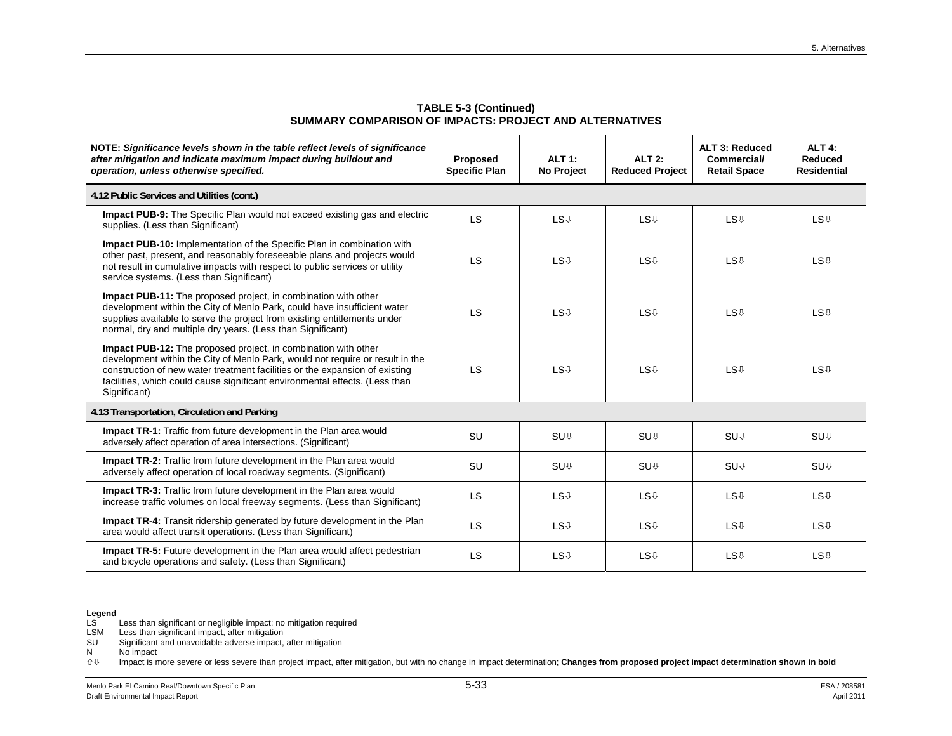| NOTE: Significance levels shown in the table reflect levels of significance<br>after mitigation and indicate maximum impact during buildout and<br>operation, unless otherwise specified.                                                                                                                                            | Proposed<br><b>Specific Plan</b> | $ALT$ 1:<br>No Project | <b>ALT 2:</b><br><b>Reduced Project</b> | <b>ALT 3: Reduced</b><br><b>Commercial/</b><br><b>Retail Space</b> | ALT <sub>4:</sub><br><b>Reduced</b><br><b>Residential</b> |  |
|--------------------------------------------------------------------------------------------------------------------------------------------------------------------------------------------------------------------------------------------------------------------------------------------------------------------------------------|----------------------------------|------------------------|-----------------------------------------|--------------------------------------------------------------------|-----------------------------------------------------------|--|
| 4.12 Public Services and Utilities (cont.)                                                                                                                                                                                                                                                                                           |                                  |                        |                                         |                                                                    |                                                           |  |
| <b>Impact PUB-9:</b> The Specific Plan would not exceed existing gas and electric<br>supplies. (Less than Significant)                                                                                                                                                                                                               | LS                               | <b>LS</b> <sup>0</sup> | <b>LS</b> <sup>0</sup>                  | <b>LS</b> <sup>0</sup>                                             | <b>LS</b> <sup>0</sup>                                    |  |
| Impact PUB-10: Implementation of the Specific Plan in combination with<br>other past, present, and reasonably foreseeable plans and projects would<br>not result in cumulative impacts with respect to public services or utility<br>service systems. (Less than Significant)                                                        | LS                               | <b>LS</b> <sup>0</sup> | <b>LS</b> <sup>0</sup>                  | <b>LS</b> <sup>0</sup>                                             | <b>LS</b> <sup>0</sup>                                    |  |
| Impact PUB-11: The proposed project, in combination with other<br>development within the City of Menlo Park, could have insufficient water<br>supplies available to serve the project from existing entitlements under<br>normal, dry and multiple dry years. (Less than Significant)                                                | LS                               | <b>LS</b> <sup>0</sup> | <b>LS</b> <sup>0</sup>                  | <b>LS</b> <sup>0</sup>                                             | <b>LS</b> <sup>0</sup>                                    |  |
| <b>Impact PUB-12:</b> The proposed project, in combination with other<br>development within the City of Menlo Park, would not require or result in the<br>construction of new water treatment facilities or the expansion of existing<br>facilities, which could cause significant environmental effects. (Less than<br>Significant) | LS                               | <b>LS</b> <sup>0</sup> | <b>LS</b> <sup>0</sup>                  | <b>LS</b> <sup>0</sup>                                             | <b>LS</b> <sup>0</sup>                                    |  |
| 4.13 Transportation, Circulation and Parking                                                                                                                                                                                                                                                                                         |                                  |                        |                                         |                                                                    |                                                           |  |
| Impact TR-1: Traffic from future development in the Plan area would<br>adversely affect operation of area intersections. (Significant)                                                                                                                                                                                               | <b>SU</b>                        | <b>SU</b> <sup>0</sup> | <b>SU<sub>0</sub></b>                   | <b>SU</b> <sup>0</sup>                                             | <b>SU<sub>0</sub></b>                                     |  |
| <b>Impact TR-2:</b> Traffic from future development in the Plan area would<br>adversely affect operation of local roadway segments. (Significant)                                                                                                                                                                                    | <b>SU</b>                        | SU <sub>0</sub>        | SU <sub>0</sub>                         | <b>SU</b> <sup>0</sup>                                             | <b>SU</b> <sup>U</sup>                                    |  |
| <b>Impact TR-3:</b> Traffic from future development in the Plan area would<br>increase traffic volumes on local freeway segments. (Less than Significant)                                                                                                                                                                            | LS                               | <b>LS</b> <sup>0</sup> | <b>LS</b> <sup>0</sup>                  | <b>LS</b> <sup>0</sup>                                             | <b>LS</b> <sup>0</sup>                                    |  |
| <b>Impact TR-4:</b> Transit ridership generated by future development in the Plan<br>area would affect transit operations. (Less than Significant)                                                                                                                                                                                   | <b>LS</b>                        | <b>LS</b> <sup>0</sup> | <b>LS</b> <sup>0</sup>                  | <b>LS</b> <sup>0</sup>                                             | <b>LS</b> <sup>0</sup>                                    |  |
| <b>Impact TR-5:</b> Future development in the Plan area would affect pedestrian<br>and bicycle operations and safety. (Less than Significant)                                                                                                                                                                                        | LS                               | <b>LS</b> <sup>0</sup> | <b>LS</b> <sup>0</sup>                  | <b>LS</b> <sup>0</sup>                                             | <b>LS</b> <sup>0</sup>                                    |  |

**TABLE 5-3 (Continued) SUMMARY COMPARISON OF IMPACTS: PROJECT AND ALTERNATIVES** 

LSM Less than significant impact, after mitigation

SU Significant and unavoidable adverse impact, after mitigation

 $N$  No impact<br> $\hat{U} \oplus$  Impact is n